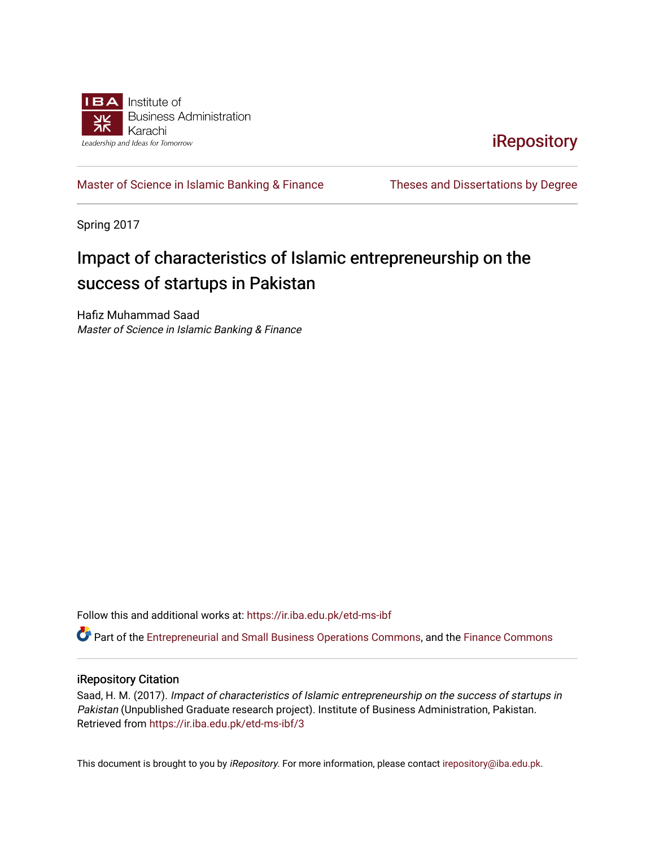

**iRepository** 

[Master of Science in Islamic Banking & Finance](https://ir.iba.edu.pk/etd-ms-ibf) Theses and Dissertations by Degree

Spring 2017

### Impact of characteristics of Islamic entrepreneurship on the success of startups in Pakistan

Hafiz Muhammad Saad Master of Science in Islamic Banking & Finance

Follow this and additional works at: [https://ir.iba.edu.pk/etd-ms-ibf](https://ir.iba.edu.pk/etd-ms-ibf?utm_source=ir.iba.edu.pk%2Fetd-ms-ibf%2F3&utm_medium=PDF&utm_campaign=PDFCoverPages)

Part of the [Entrepreneurial and Small Business Operations Commons,](http://network.bepress.com/hgg/discipline/630?utm_source=ir.iba.edu.pk%2Fetd-ms-ibf%2F3&utm_medium=PDF&utm_campaign=PDFCoverPages) and the [Finance Commons](http://network.bepress.com/hgg/discipline/345?utm_source=ir.iba.edu.pk%2Fetd-ms-ibf%2F3&utm_medium=PDF&utm_campaign=PDFCoverPages)

#### iRepository Citation

Saad, H. M. (2017). Impact of characteristics of Islamic entrepreneurship on the success of startups in Pakistan (Unpublished Graduate research project). Institute of Business Administration, Pakistan. Retrieved from [https://ir.iba.edu.pk/etd-ms-ibf/3](https://ir.iba.edu.pk/etd-ms-ibf/3?utm_source=ir.iba.edu.pk%2Fetd-ms-ibf%2F3&utm_medium=PDF&utm_campaign=PDFCoverPages) 

This document is brought to you by iRepository. For more information, please contact [irepository@iba.edu.pk](mailto:irepository@iba.edu.pk).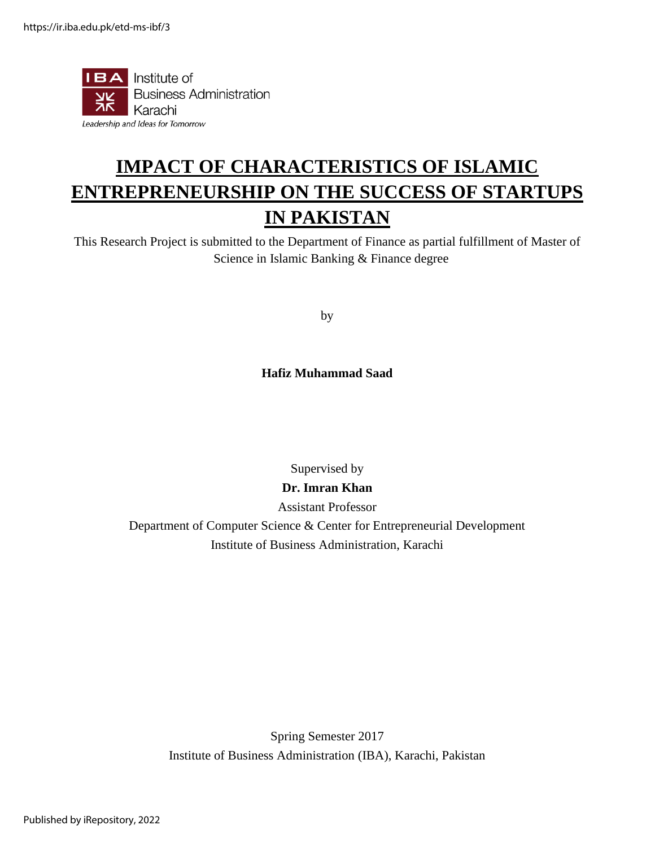

# **IMPACT OF CHARACTERISTICS OF ISLAMIC ENTREPRENEURSHIP ON THE SUCCESS OF STARTUPS IN PAKISTAN**

This Research Project is submitted to the Department of Finance as partial fulfillment of Master of Science in Islamic Banking & Finance degree

by

**Hafiz Muhammad Saad**

Supervised by

#### **Dr. Imran Khan**

Assistant Professor

Department of Computer Science & Center for Entrepreneurial Development Institute of Business Administration, Karachi

Spring Semester 2017 Institute of Business Administration (IBA), Karachi, Pakistan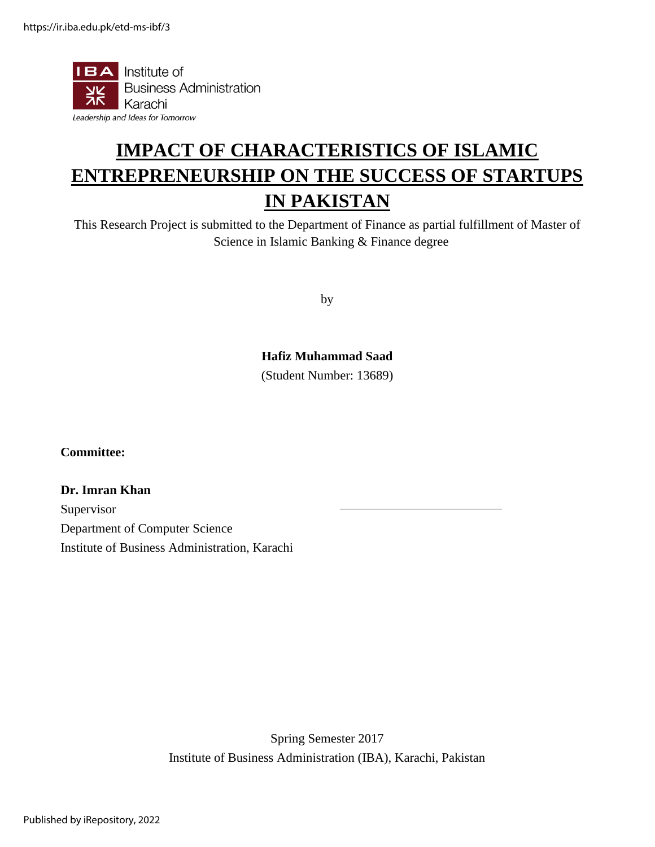

## **IMPACT OF CHARACTERISTICS OF ISLAMIC ENTREPRENEURSHIP ON THE SUCCESS OF STARTUPS IN PAKISTAN**

This Research Project is submitted to the Department of Finance as partial fulfillment of Master of Science in Islamic Banking & Finance degree

by

#### **Hafiz Muhammad Saad**

(Student Number: 13689)

**Committee:**

**Dr. Imran Khan** Supervisor Department of Computer Science Institute of Business Administration, Karachi

> Spring Semester 2017 Institute of Business Administration (IBA), Karachi, Pakistan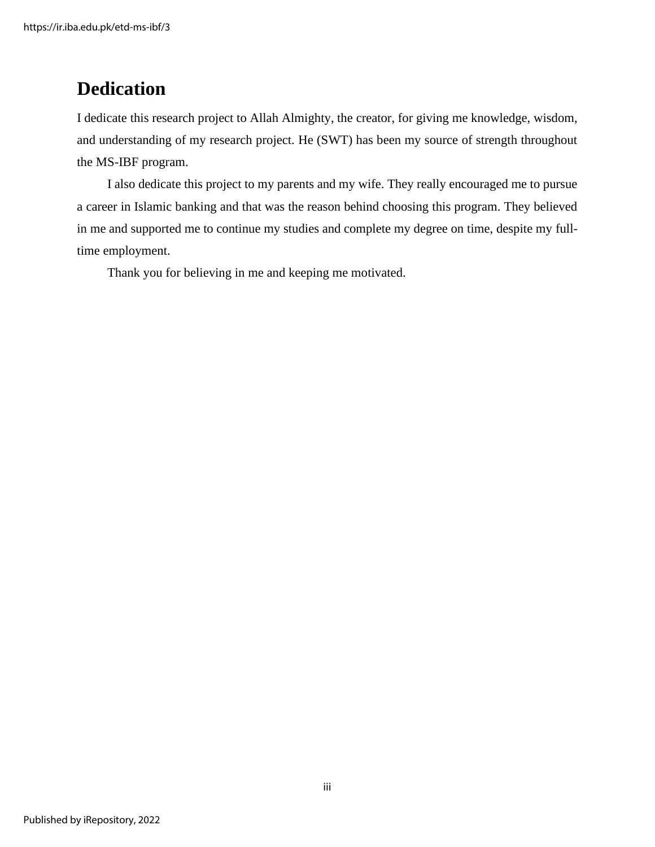### **Dedication**

I dedicate this research project to Allah Almighty, the creator, for giving me knowledge, wisdom, and understanding of my research project. He (SWT) has been my source of strength throughout the MS-IBF program.

I also dedicate this project to my parents and my wife. They really encouraged me to pursue a career in Islamic banking and that was the reason behind choosing this program. They believed in me and supported me to continue my studies and complete my degree on time, despite my fulltime employment.

Thank you for believing in me and keeping me motivated.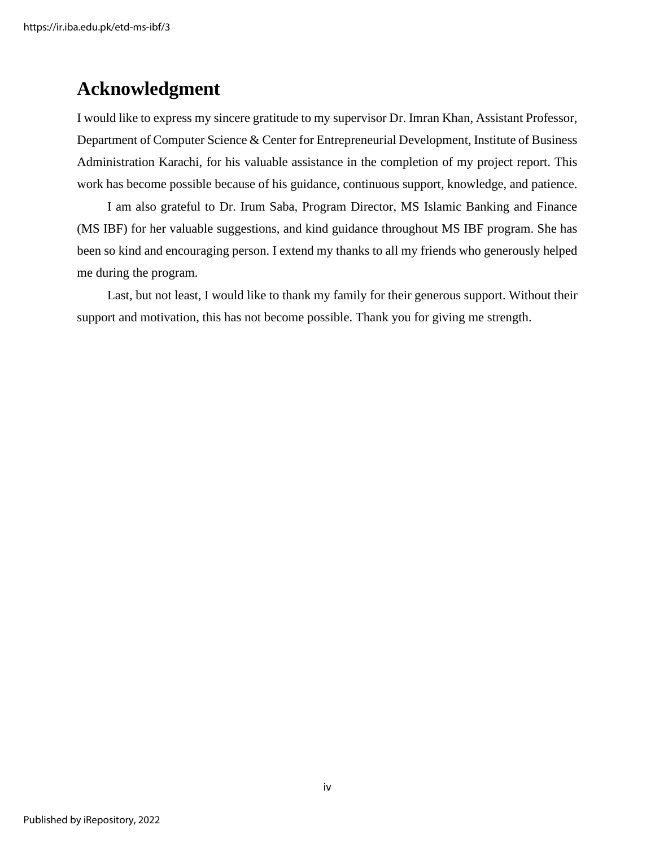### **Acknowledgment**

I would like to express my sincere gratitude to my supervisor Dr. Imran Khan, Assistant Professor, Department of Computer Science & Center for Entrepreneurial Development, Institute of Business Administration Karachi, for his valuable assistance in the completion of my project report. This work has become possible because of his guidance, continuous support, knowledge, and patience.

I am also grateful to Dr. Irum Saba, Program Director, MS Islamic Banking and Finance (MS IBF) for her valuable suggestions, and kind guidance throughout MS IBF program. She has been so kind and encouraging person. I extend my thanks to all my friends who generously helped me during the program.

Last, but not least, I would like to thank my family for their generous support. Without their support and motivation, this has not become possible. Thank you for giving me strength.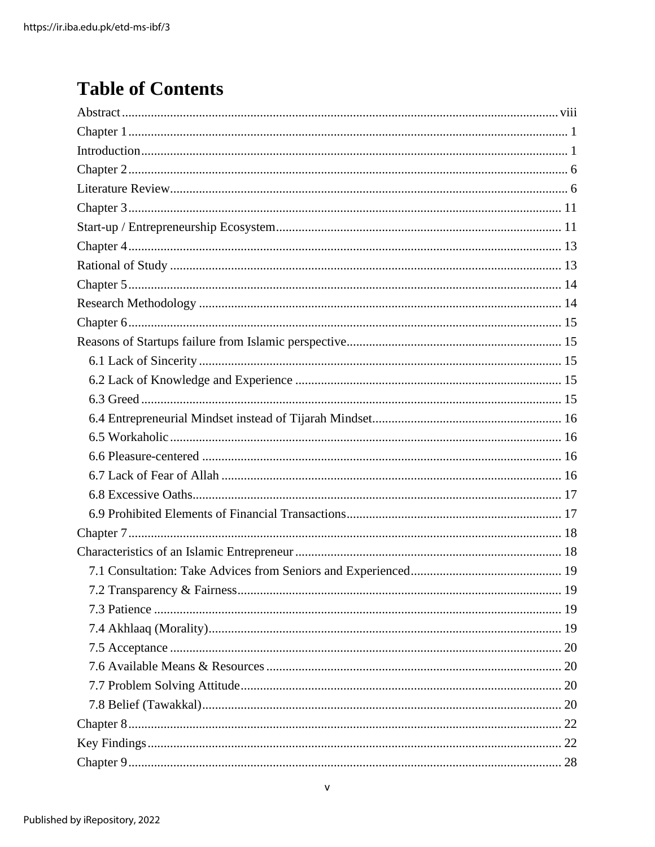### **Table of Contents**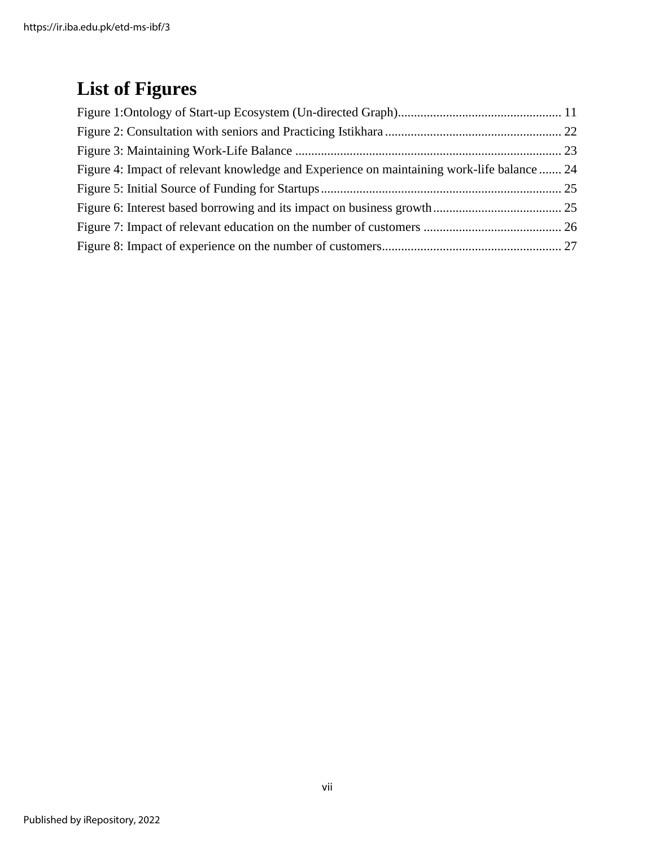# **List of Figures**

| Figure 4: Impact of relevant knowledge and Experience on maintaining work-life balance  24 |  |
|--------------------------------------------------------------------------------------------|--|
|                                                                                            |  |
|                                                                                            |  |
|                                                                                            |  |
|                                                                                            |  |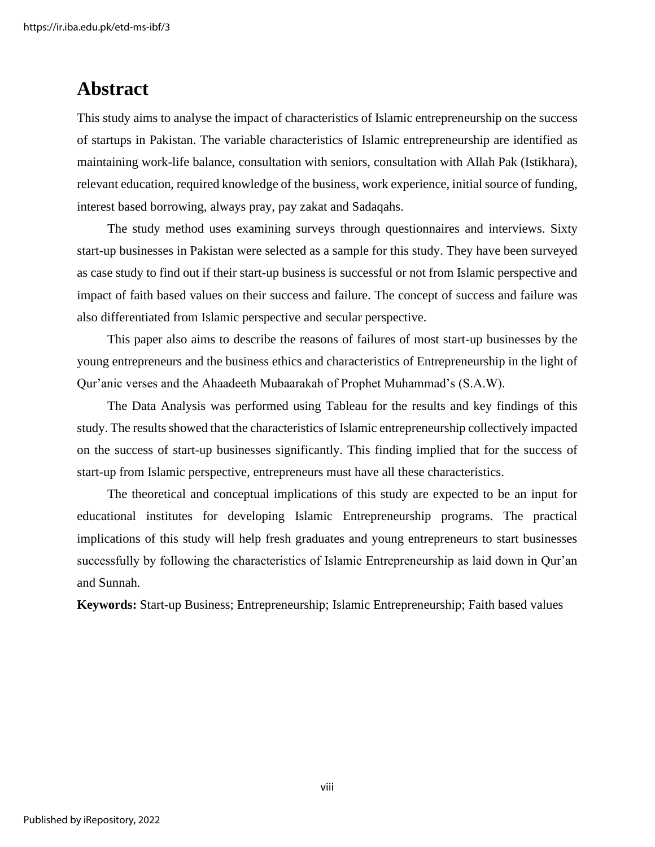### <span id="page-8-0"></span>**Abstract**

This study aims to analyse the impact of characteristics of Islamic entrepreneurship on the success of startups in Pakistan. The variable characteristics of Islamic entrepreneurship are identified as maintaining work-life balance, consultation with seniors, consultation with Allah Pak (Istikhara), relevant education, required knowledge of the business, work experience, initial source of funding, interest based borrowing, always pray, pay zakat and Sadaqahs.

The study method uses examining surveys through questionnaires and interviews. Sixty start-up businesses in Pakistan were selected as a sample for this study. They have been surveyed as case study to find out if their start-up business is successful or not from Islamic perspective and impact of faith based values on their success and failure. The concept of success and failure was also differentiated from Islamic perspective and secular perspective.

This paper also aims to describe the reasons of failures of most start-up businesses by the young entrepreneurs and the business ethics and characteristics of Entrepreneurship in the light of Qur'anic verses and the Ahaadeeth Mubaarakah of Prophet Muhammad's (S.A.W).

The Data Analysis was performed using Tableau for the results and key findings of this study. The results showed that the characteristics of Islamic entrepreneurship collectively impacted on the success of start-up businesses significantly. This finding implied that for the success of start-up from Islamic perspective, entrepreneurs must have all these characteristics.

The theoretical and conceptual implications of this study are expected to be an input for educational institutes for developing Islamic Entrepreneurship programs. The practical implications of this study will help fresh graduates and young entrepreneurs to start businesses successfully by following the characteristics of Islamic Entrepreneurship as laid down in Qur'an and Sunnah.

**Keywords:** Start-up Business; Entrepreneurship; Islamic Entrepreneurship; Faith based values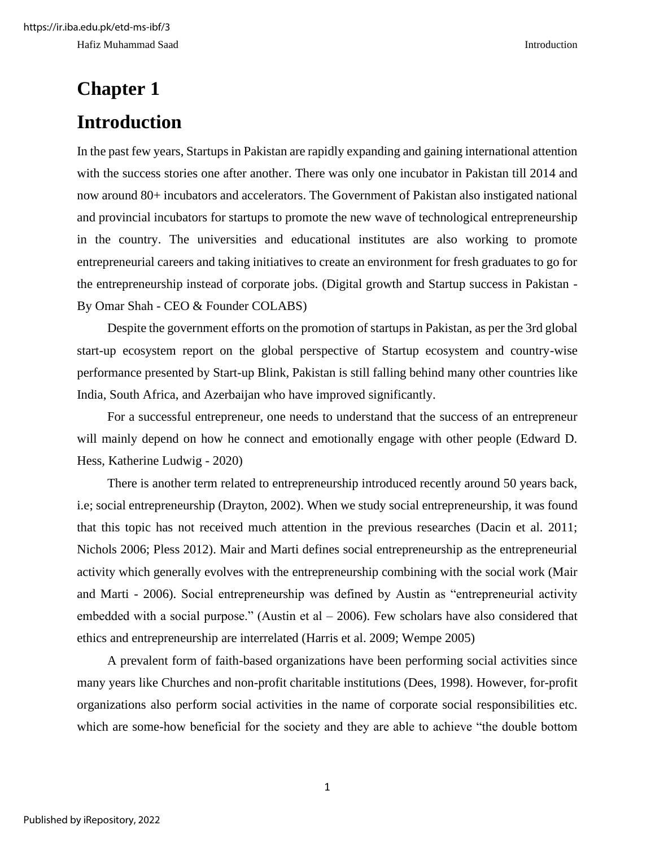# <span id="page-9-1"></span><span id="page-9-0"></span>**Chapter 1 Introduction**

In the past few years, Startups in Pakistan are rapidly expanding and gaining international attention with the success stories one after another. There was only one incubator in Pakistan till 2014 and now around 80+ incubators and accelerators. The Government of Pakistan also instigated national and provincial incubators for startups to promote the new wave of technological entrepreneurship in the country. The universities and educational institutes are also working to promote entrepreneurial careers and taking initiatives to create an environment for fresh graduates to go for the entrepreneurship instead of corporate jobs. (Digital growth and Startup success in Pakistan - By Omar Shah - CEO & Founder COLABS)

Despite the government efforts on the promotion of startups in Pakistan, as per the 3rd global start-up ecosystem report on the global perspective of Startup ecosystem and country-wise performance presented by Start-up Blink, Pakistan is still falling behind many other countries like India, South Africa, and Azerbaijan who have improved significantly.

For a successful entrepreneur, one needs to understand that the success of an entrepreneur will mainly depend on how he connect and emotionally engage with other people (Edward D. Hess, Katherine Ludwig - 2020)

There is another term related to entrepreneurship introduced recently around 50 years back, i.e; social entrepreneurship (Drayton, 2002). When we study social entrepreneurship, it was found that this topic has not received much attention in the previous researches (Dacin et al. 2011; Nichols 2006; Pless 2012). Mair and Marti defines social entrepreneurship as the entrepreneurial activity which generally evolves with the entrepreneurship combining with the social work (Mair and Marti - 2006). Social entrepreneurship was defined by Austin as "entrepreneurial activity embedded with a social purpose." (Austin et al  $-$  2006). Few scholars have also considered that ethics and entrepreneurship are interrelated (Harris et al. 2009; Wempe 2005)

A prevalent form of faith-based organizations have been performing social activities since many years like Churches and non-profit charitable institutions (Dees, 1998). However, for-profit organizations also perform social activities in the name of corporate social responsibilities etc. which are some-how beneficial for the society and they are able to achieve "the double bottom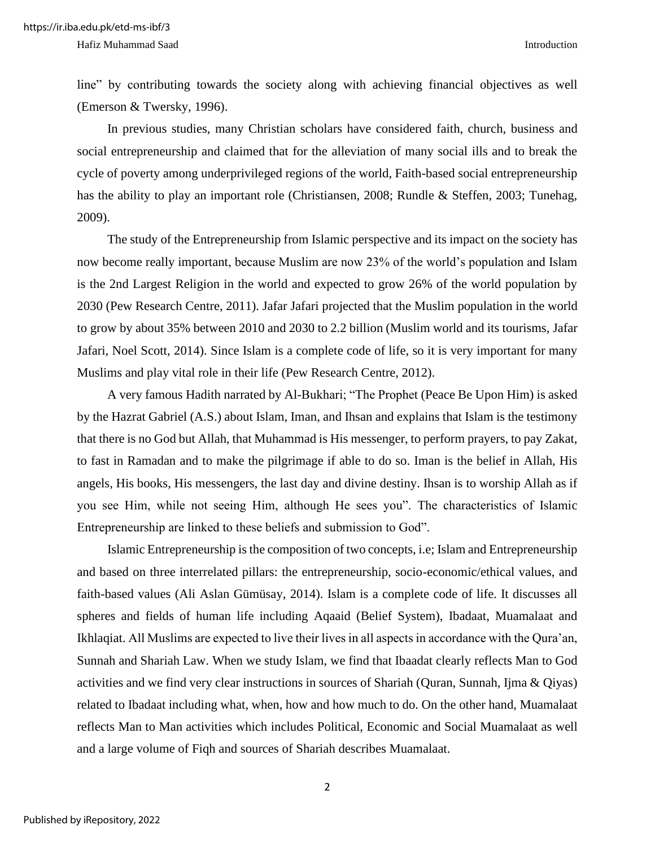line" by contributing towards the society along with achieving financial objectives as well (Emerson & Twersky, 1996).

In previous studies, many Christian scholars have considered faith, church, business and social entrepreneurship and claimed that for the alleviation of many social ills and to break the cycle of poverty among underprivileged regions of the world, Faith-based social entrepreneurship has the ability to play an important role (Christiansen, 2008; Rundle & Steffen, 2003; Tunehag, 2009).

The study of the Entrepreneurship from Islamic perspective and its impact on the society has now become really important, because Muslim are now 23% of the world's population and Islam is the 2nd Largest Religion in the world and expected to grow 26% of the world population by 2030 (Pew Research Centre, 2011). Jafar Jafari projected that the Muslim population in the world to grow by about 35% between 2010 and 2030 to 2.2 billion (Muslim world and its tourisms[, Jafar](https://www.sciencedirect.com/science/article/abs/pii/S0160738313001199#!)  [Jafari, Noel Scott,](https://www.sciencedirect.com/science/article/abs/pii/S0160738313001199#!) 2014). Since Islam is a complete code of life, so it is very important for many Muslims and play vital role in their life (Pew Research Centre, 2012).

A very famous Hadith narrated by Al-Bukhari; "The Prophet (Peace Be Upon Him) is asked by the Hazrat Gabriel (A.S.) about Islam, Iman, and Ihsan and explains that Islam is the testimony that there is no God but Allah, that Muhammad is His messenger, to perform prayers, to pay Zakat, to fast in Ramadan and to make the pilgrimage if able to do so. Iman is the belief in Allah, His angels, His books, His messengers, the last day and divine destiny. Ihsan is to worship Allah as if you see Him, while not seeing Him, although He sees you". The characteristics of Islamic Entrepreneurship are linked to these beliefs and submission to God".

Islamic Entrepreneurship is the composition of two concepts, i.e; Islam and Entrepreneurship and based on three interrelated pillars: the entrepreneurship, socio-economic/ethical values, and faith-based values (Ali Aslan Gümüsay, 2014). Islam is a complete code of life. It discusses all spheres and fields of human life including Aqaaid (Belief System), Ibadaat, Muamalaat and Ikhlaqiat. All Muslims are expected to live their lives in all aspects in accordance with the Qura'an, Sunnah and Shariah Law. When we study Islam, we find that Ibaadat clearly reflects Man to God activities and we find very clear instructions in sources of Shariah (Quran, Sunnah, Ijma & Qiyas) related to Ibadaat including what, when, how and how much to do. On the other hand, Muamalaat reflects Man to Man activities which includes Political, Economic and Social Muamalaat as well and a large volume of Fiqh and sources of Shariah describes Muamalaat.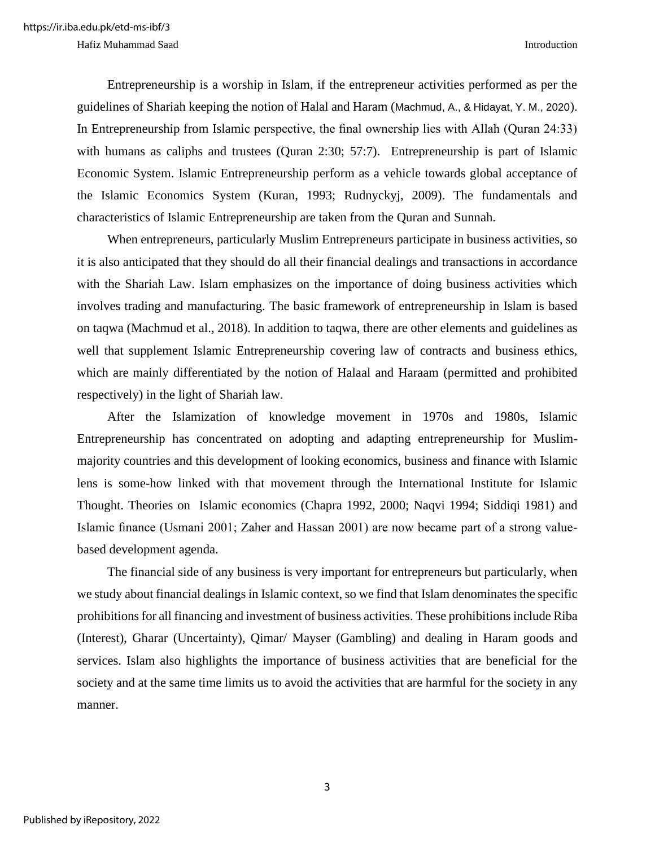Entrepreneurship is a worship in Islam, if the entrepreneur activities performed as per the guidelines of Shariah keeping the notion of Halal and Haram (Machmud, A., & Hidayat, Y. M., 2020). In Entrepreneurship from Islamic perspective, the final ownership lies with Allah (Quran 24:33) with humans as caliphs and trustees (Quran 2:30; 57:7). Entrepreneurship is part of Islamic Economic System. Islamic Entrepreneurship perform as a vehicle towards global acceptance of the Islamic Economics System (Kuran, 1993; Rudnyckyj, 2009). The fundamentals and characteristics of Islamic Entrepreneurship are taken from the Quran and Sunnah.

When entrepreneurs, particularly Muslim Entrepreneurs participate in business activities, so it is also anticipated that they should do all their financial dealings and transactions in accordance with the Shariah Law. Islam emphasizes on the importance of doing business activities which involves trading and manufacturing. The basic framework of entrepreneurship in Islam is based on taqwa (Machmud et al., 2018). In addition to taqwa, there are other elements and guidelines as well that supplement Islamic Entrepreneurship covering law of contracts and business ethics, which are mainly differentiated by the notion of Halaal and Haraam (permitted and prohibited respectively) in the light of Shariah law.

After the Islamization of knowledge movement in 1970s and 1980s, Islamic Entrepreneurship has concentrated on adopting and adapting entrepreneurship for Muslimmajority countries and this development of looking economics, business and finance with Islamic lens is some-how linked with that movement through the International Institute for Islamic Thought. Theories on Islamic economics (Chapra 1992, 2000; Naqvi 1994; Siddiqi 1981) and Islamic finance (Usmani 2001; Zaher and Hassan 2001) are now became part of a strong valuebased development agenda.

The financial side of any business is very important for entrepreneurs but particularly, when we study about financial dealings in Islamic context, so we find that Islam denominates the specific prohibitions for all financing and investment of business activities. These prohibitions include Riba (Interest), Gharar (Uncertainty), Qimar/ Mayser (Gambling) and dealing in Haram goods and services. Islam also highlights the importance of business activities that are beneficial for the society and at the same time limits us to avoid the activities that are harmful for the society in any manner.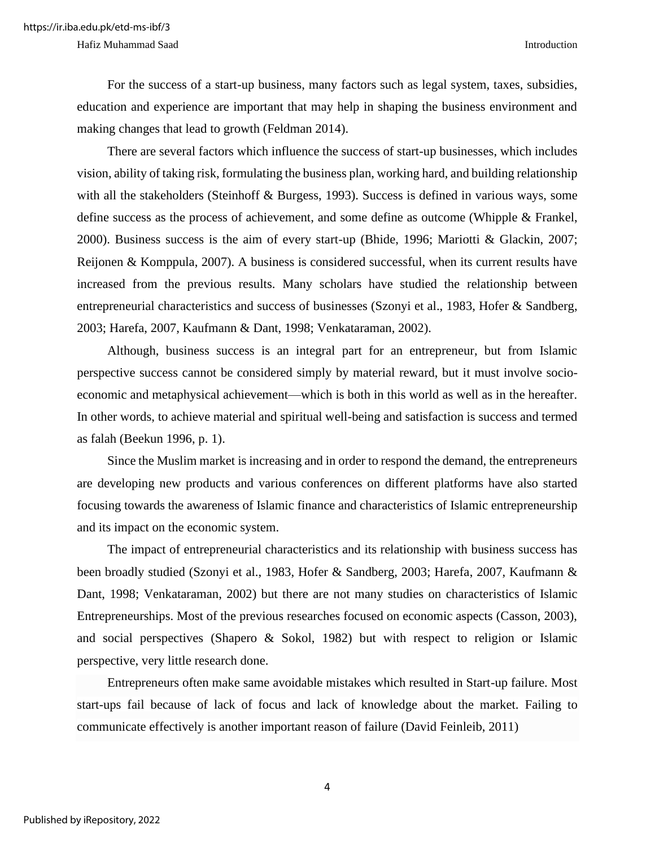For the success of a start-up business, many factors such as legal system, taxes, subsidies, education and experience are important that may help in shaping the business environment and making changes that lead to growth (Feldman 2014).

There are several factors which influence the success of start-up businesses, which includes vision, ability of taking risk, formulating the business plan, working hard, and building relationship with all the stakeholders (Steinhoff & Burgess, 1993). Success is defined in various ways, some define success as the process of achievement, and some define as outcome (Whipple & Frankel, 2000). Business success is the aim of every start-up (Bhide, 1996; Mariotti & Glackin, 2007; Reijonen & Komppula, 2007). A business is considered successful, when its current results have increased from the previous results. Many scholars have studied the relationship between entrepreneurial characteristics and success of businesses (Szonyi et al., 1983, Hofer & Sandberg, 2003; Harefa, 2007, Kaufmann & Dant, 1998; Venkataraman, 2002).

Although, business success is an integral part for an entrepreneur, but from Islamic perspective success cannot be considered simply by material reward, but it must involve socioeconomic and metaphysical achievement—which is both in this world as well as in the hereafter. In other words, to achieve material and spiritual well-being and satisfaction is success and termed as falah (Beekun 1996, p. 1).

Since the Muslim market is increasing and in order to respond the demand, the entrepreneurs are developing new products and various conferences on different platforms have also started focusing towards the awareness of Islamic finance and characteristics of Islamic entrepreneurship and its impact on the economic system.

The impact of entrepreneurial characteristics and its relationship with business success has been broadly studied (Szonyi et al., 1983, Hofer & Sandberg, 2003; Harefa, 2007, Kaufmann & Dant, 1998; Venkataraman, 2002) but there are not many studies on characteristics of Islamic Entrepreneurships. Most of the previous researches focused on economic aspects (Casson, 2003), and social perspectives (Shapero & Sokol, 1982) but with respect to religion or Islamic perspective, very little research done.

Entrepreneurs often make same avoidable mistakes which resulted in Start-up failure. Most start-ups fail because of lack of focus and lack of knowledge about the market. Failing to communicate effectively is another important reason of failure (David Feinleib, 2011)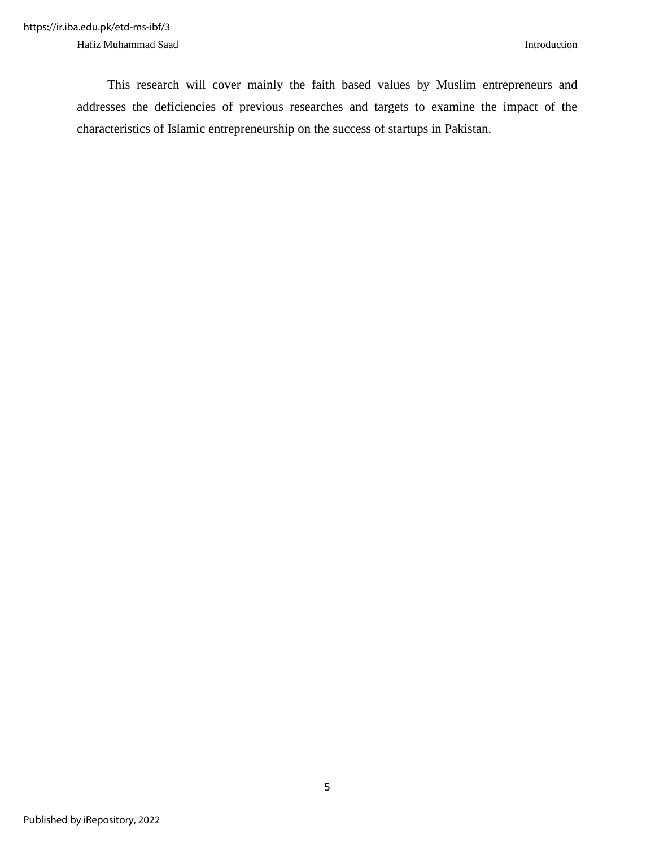This research will cover mainly the faith based values by Muslim entrepreneurs and addresses the deficiencies of previous researches and targets to examine the impact of the characteristics of Islamic entrepreneurship on the success of startups in Pakistan.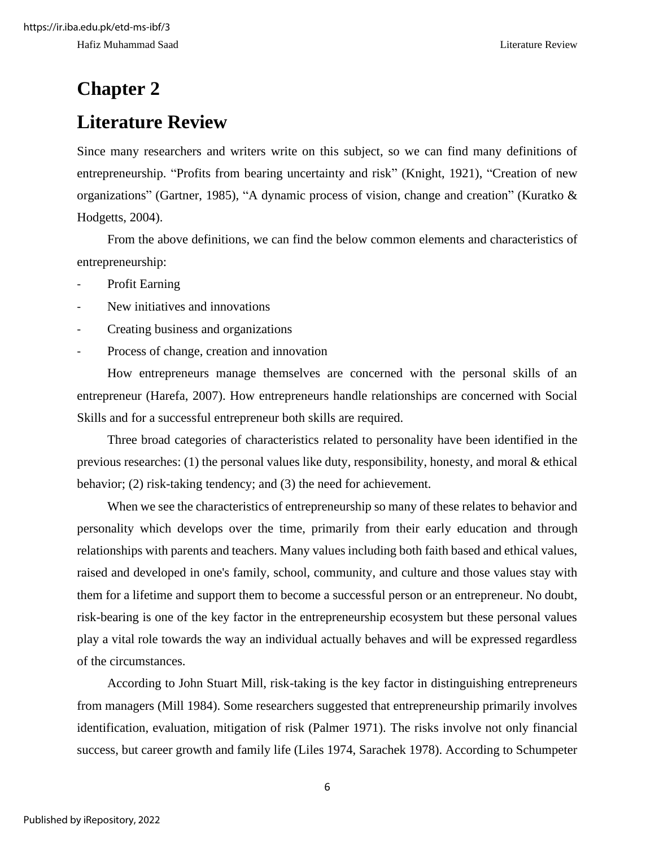# <span id="page-14-0"></span>**Chapter 2**

### <span id="page-14-1"></span>**Literature Review**

Since many researchers and writers write on this subject, so we can find many definitions of entrepreneurship. "Profits from bearing uncertainty and risk" (Knight, 1921), "Creation of new organizations" (Gartner, 1985), "A dynamic process of vision, change and creation" (Kuratko & Hodgetts, 2004).

From the above definitions, we can find the below common elements and characteristics of entrepreneurship:

- Profit Earning
- New initiatives and innovations
- Creating business and organizations
- Process of change, creation and innovation

How entrepreneurs manage themselves are concerned with the personal skills of an entrepreneur (Harefa, 2007). How entrepreneurs handle relationships are concerned with Social Skills and for a successful entrepreneur both skills are required.

Three broad categories of characteristics related to personality have been identified in the previous researches: (1) the personal values like duty, responsibility, honesty, and moral & ethical behavior; (2) risk-taking tendency; and (3) the need for achievement.

When we see the characteristics of entrepreneurship so many of these relates to behavior and personality which develops over the time, primarily from their early education and through relationships with parents and teachers. Many values including both faith based and ethical values, raised and developed in one's family, school, community, and culture and those values stay with them for a lifetime and support them to become a successful person or an entrepreneur. No doubt, risk-bearing is one of the key factor in the entrepreneurship ecosystem but these personal values play a vital role towards the way an individual actually behaves and will be expressed regardless of the circumstances.

According to John Stuart Mill, risk-taking is the key factor in distinguishing entrepreneurs from managers (Mill 1984). Some researchers suggested that entrepreneurship primarily involves identification, evaluation, mitigation of risk (Palmer 1971). The risks involve not only financial success, but career growth and family life (Liles 1974, Sarachek 1978). According to Schumpeter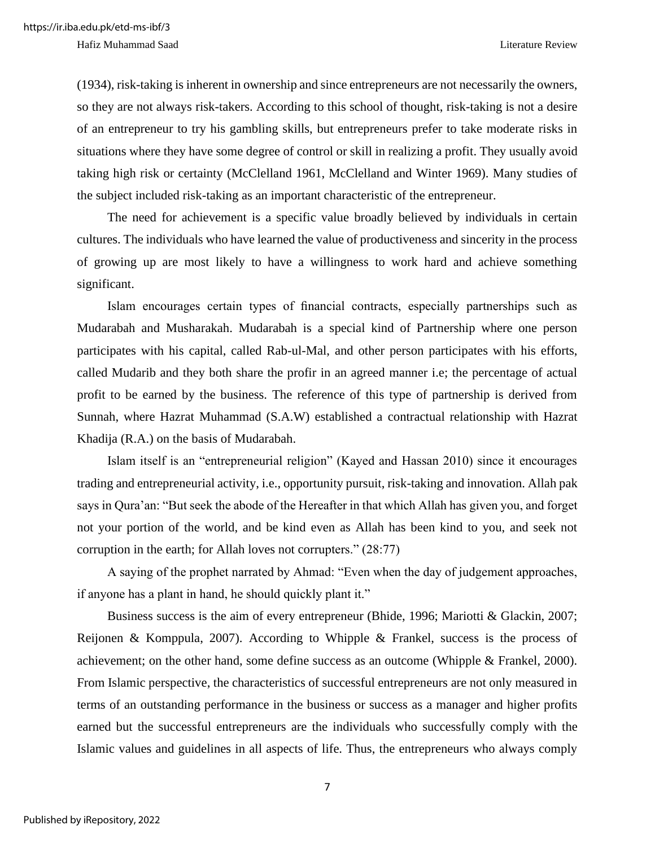Hafiz Muhammad Saad Literature Review

(1934), risk-taking is inherent in ownership and since entrepreneurs are not necessarily the owners, so they are not always risk-takers. According to this school of thought, risk-taking is not a desire of an entrepreneur to try his gambling skills, but entrepreneurs prefer to take moderate risks in situations where they have some degree of control or skill in realizing a profit. They usually avoid taking high risk or certainty (McClelland 1961, McClelland and Winter 1969). Many studies of the subject included risk-taking as an important characteristic of the entrepreneur.

The need for achievement is a specific value broadly believed by individuals in certain cultures. The individuals who have learned the value of productiveness and sincerity in the process of growing up are most likely to have a willingness to work hard and achieve something significant.

Islam encourages certain types of financial contracts, especially partnerships such as Mudarabah and Musharakah. Mudarabah is a special kind of Partnership where one person participates with his capital, called Rab-ul-Mal, and other person participates with his efforts, called Mudarib and they both share the profir in an agreed manner i.e; the percentage of actual profit to be earned by the business. The reference of this type of partnership is derived from Sunnah, where Hazrat Muhammad (S.A.W) established a contractual relationship with Hazrat Khadija (R.A.) on the basis of Mudarabah.

Islam itself is an "entrepreneurial religion" (Kayed and Hassan 2010) since it encourages trading and entrepreneurial activity, i.e., opportunity pursuit, risk-taking and innovation. Allah pak says in Qura'an: "But seek the abode of the Hereafter in that which Allah has given you, and forget not your portion of the world, and be kind even as Allah has been kind to you, and seek not corruption in the earth; for Allah loves not corrupters." (28:77)

A saying of the prophet narrated by Ahmad: "Even when the day of judgement approaches, if anyone has a plant in hand, he should quickly plant it."

Business success is the aim of every entrepreneur (Bhide, 1996; Mariotti & Glackin, 2007; Reijonen & Komppula, 2007). According to Whipple & Frankel, success is the process of achievement; on the other hand, some define success as an outcome (Whipple & Frankel, 2000). From Islamic perspective, the characteristics of successful entrepreneurs are not only measured in terms of an outstanding performance in the business or success as a manager and higher profits earned but the successful entrepreneurs are the individuals who successfully comply with the Islamic values and guidelines in all aspects of life. Thus, the entrepreneurs who always comply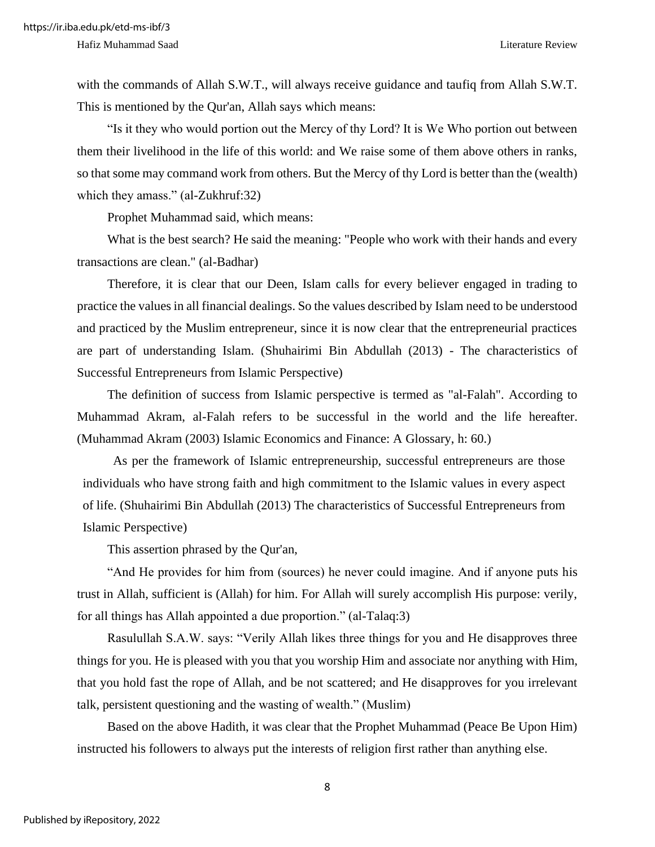with the commands of Allah S.W.T., will always receive guidance and taufiq from Allah S.W.T. This is mentioned by the Qur'an, Allah says which means:

"Is it they who would portion out the Mercy of thy Lord? It is We Who portion out between them their livelihood in the life of this world: and We raise some of them above others in ranks, so that some may command work from others. But the Mercy of thy Lord is better than the (wealth) which they amass." (al-Zukhruf:32)

Prophet Muhammad said, which means:

What is the best search? He said the meaning: "People who work with their hands and every transactions are clean." (al-Badhar)

Therefore, it is clear that our Deen, Islam calls for every believer engaged in trading to practice the values in all financial dealings. So the values described by Islam need to be understood and practiced by the Muslim entrepreneur, since it is now clear that the entrepreneurial practices are part of understanding Islam. (Shuhairimi Bin Abdullah (2013) - The characteristics of Successful Entrepreneurs from Islamic Perspective)

The definition of success from Islamic perspective is termed as "al-Falah". According to Muhammad Akram, al-Falah refers to be successful in the world and the life hereafter. (Muhammad Akram (2003) Islamic Economics and Finance: A Glossary, h: 60.)

As per the framework of Islamic entrepreneurship, successful entrepreneurs are those individuals who have strong faith and high commitment to the Islamic values in every aspect of life. (Shuhairimi Bin Abdullah (2013) The characteristics of Successful Entrepreneurs from Islamic Perspective)

This assertion phrased by the Qur'an,

"And He provides for him from (sources) he never could imagine. And if anyone puts his trust in Allah, sufficient is (Allah) for him. For Allah will surely accomplish His purpose: verily, for all things has Allah appointed a due proportion." (al-Talaq:3)

Rasulullah S.A.W. says: "Verily Allah likes three things for you and He disapproves three things for you. He is pleased with you that you worship Him and associate nor anything with Him, that you hold fast the rope of Allah, and be not scattered; and He disapproves for you irrelevant talk, persistent questioning and the wasting of wealth." (Muslim)

Based on the above Hadith, it was clear that the Prophet Muhammad (Peace Be Upon Him) instructed his followers to always put the interests of religion first rather than anything else.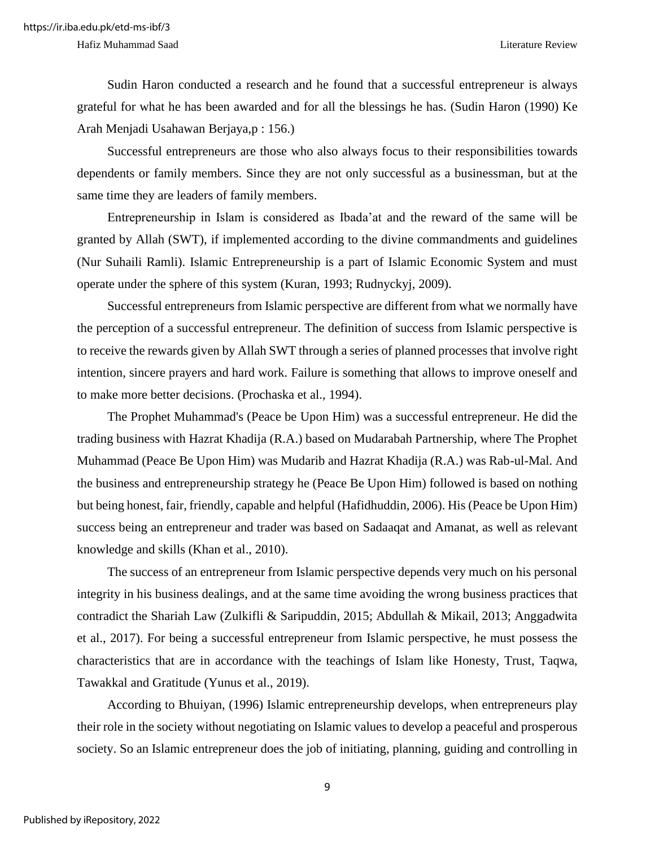Hafiz Muhammad Saad Literature Review

Sudin Haron conducted a research and he found that a successful entrepreneur is always grateful for what he has been awarded and for all the blessings he has. (Sudin Haron (1990) Ke Arah Menjadi Usahawan Berjaya,p : 156.)

Successful entrepreneurs are those who also always focus to their responsibilities towards dependents or family members. Since they are not only successful as a businessman, but at the same time they are leaders of family members.

Entrepreneurship in Islam is considered as Ibada'at and the reward of the same will be granted by Allah (SWT), if implemented according to the divine commandments and guidelines (Nur Suhaili Ramli). Islamic Entrepreneurship is a part of Islamic Economic System and must operate under the sphere of this system (Kuran, 1993; Rudnyckyj, 2009).

Successful entrepreneurs from Islamic perspective are different from what we normally have the perception of a successful entrepreneur. The definition of success from Islamic perspective is to receive the rewards given by Allah SWT through a series of planned processes that involve right intention, sincere prayers and hard work. Failure is something that allows to improve oneself and to make more better decisions. (Prochaska et al., 1994).

The Prophet Muhammad's (Peace be Upon Him) was a successful entrepreneur. He did the trading business with Hazrat Khadija (R.A.) based on Mudarabah Partnership, where The Prophet Muhammad (Peace Be Upon Him) was Mudarib and Hazrat Khadija (R.A.) was Rab-ul-Mal. And the business and entrepreneurship strategy he (Peace Be Upon Him) followed is based on nothing but being honest, fair, friendly, capable and helpful (Hafidhuddin, 2006). His (Peace be Upon Him) success being an entrepreneur and trader was based on Sadaaqat and Amanat, as well as relevant knowledge and skills (Khan et al., 2010).

The success of an entrepreneur from Islamic perspective depends very much on his personal integrity in his business dealings, and at the same time avoiding the wrong business practices that contradict the Shariah Law (Zulkifli & Saripuddin, 2015; Abdullah & Mikail, 2013; Anggadwita et al., 2017). For being a successful entrepreneur from Islamic perspective, he must possess the characteristics that are in accordance with the teachings of Islam like Honesty, Trust, Taqwa, Tawakkal and Gratitude (Yunus et al., 2019).

According to Bhuiyan, (1996) Islamic entrepreneurship develops, when entrepreneurs play their role in the society without negotiating on Islamic values to develop a peaceful and prosperous society. So an Islamic entrepreneur does the job of initiating, planning, guiding and controlling in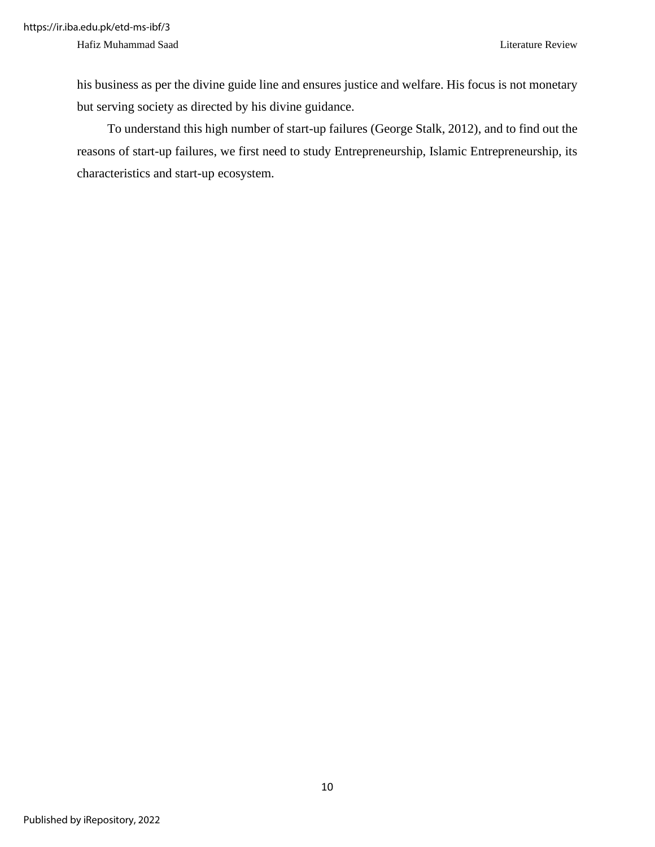his business as per the divine guide line and ensures justice and welfare. His focus is not monetary but serving society as directed by his divine guidance.

To understand this high number of start-up failures (George Stalk, 2012), and to find out the reasons of start-up failures, we first need to study Entrepreneurship, Islamic Entrepreneurship, its characteristics and start-up ecosystem.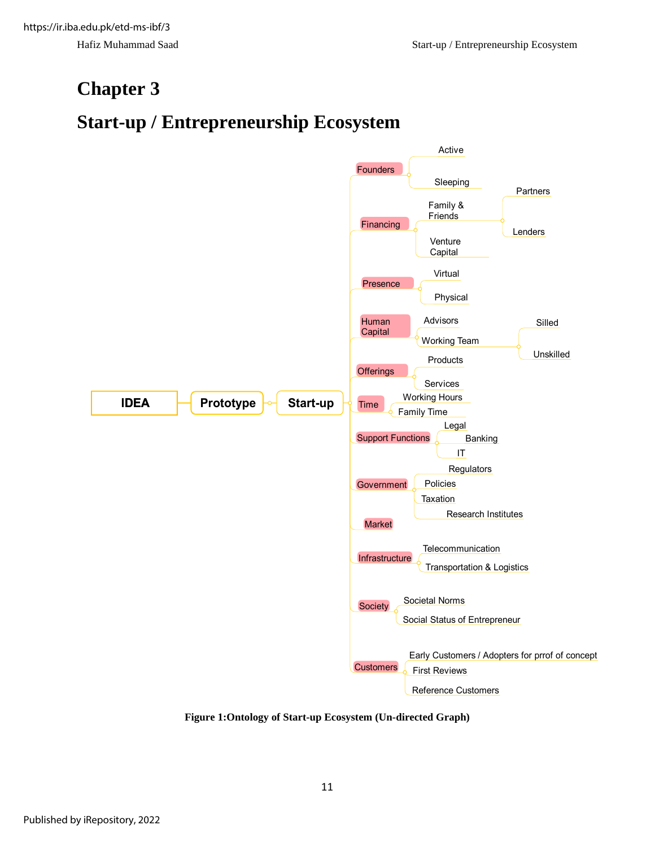### <span id="page-19-0"></span>**Chapter 3**

### <span id="page-19-1"></span>**Start-up / Entrepreneurship Ecosystem**



<span id="page-19-2"></span>**Figure 1:Ontology of Start-up Ecosystem (Un-directed Graph)**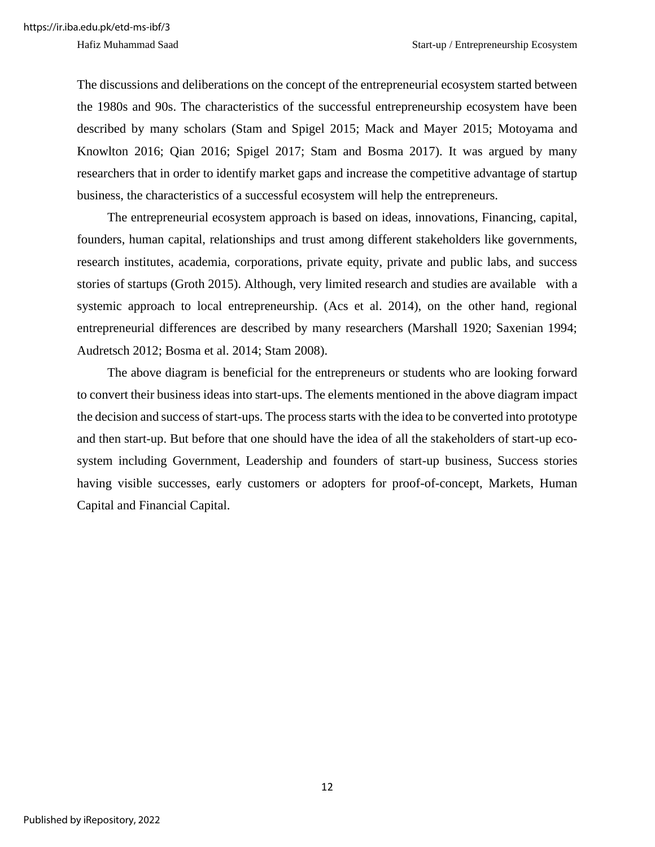The discussions and deliberations on the concept of the entrepreneurial ecosystem started between the 1980s and 90s. The characteristics of the successful entrepreneurship ecosystem have been described by many scholars (Stam and Spigel 2015; Mack and Mayer 2015; Motoyama and Knowlton 2016; Qian 2016; Spigel 2017; Stam and Bosma 2017). It was argued by many researchers that in order to identify market gaps and increase the competitive advantage of startup business, the characteristics of a successful ecosystem will help the entrepreneurs.

The entrepreneurial ecosystem approach is based on ideas, innovations, Financing, capital, founders, human capital, relationships and trust among different stakeholders like governments, research institutes, academia, corporations, private equity, private and public labs, and success stories of startups (Groth 2015). Although, very limited research and studies are available with a systemic approach to local entrepreneurship. (Acs et al. 2014), on the other hand, regional entrepreneurial differences are described by many researchers (Marshall 1920; Saxenian 1994; Audretsch 2012; Bosma et al. 2014; Stam 2008).

The above diagram is beneficial for the entrepreneurs or students who are looking forward to convert their business ideas into start-ups. The elements mentioned in the above diagram impact the decision and success of start-ups. The process starts with the idea to be converted into prototype and then start-up. But before that one should have the idea of all the stakeholders of start-up ecosystem including Government, Leadership and founders of start-up business, Success stories having visible successes, early customers or adopters for proof-of-concept, Markets, Human Capital and Financial Capital.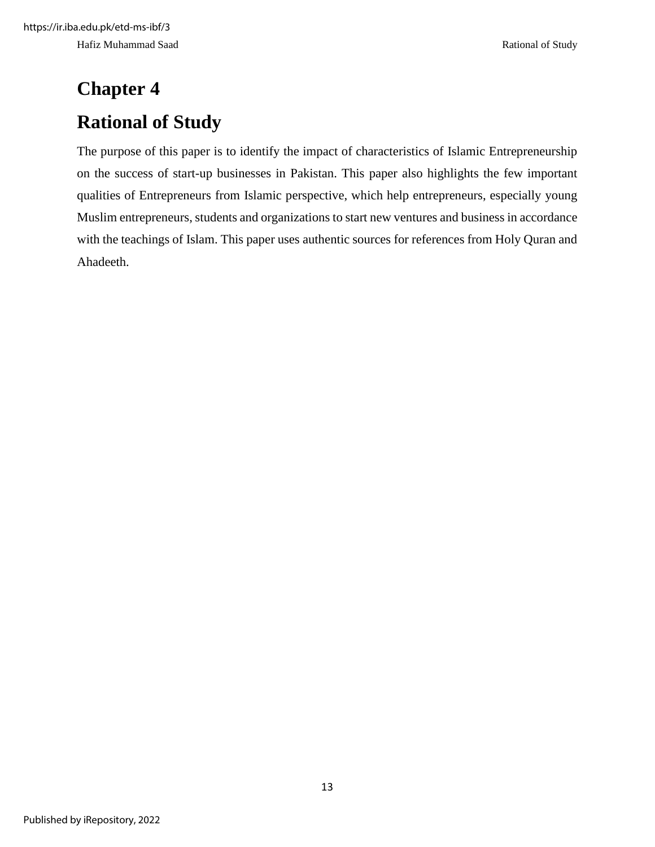# <span id="page-21-1"></span><span id="page-21-0"></span>**Chapter 4 Rational of Study**

The purpose of this paper is to identify the impact of characteristics of Islamic Entrepreneurship on the success of start-up businesses in Pakistan. This paper also highlights the few important qualities of Entrepreneurs from Islamic perspective, which help entrepreneurs, especially young Muslim entrepreneurs, students and organizations to start new ventures and business in accordance with the teachings of Islam. This paper uses authentic sources for references from Holy Quran and Ahadeeth.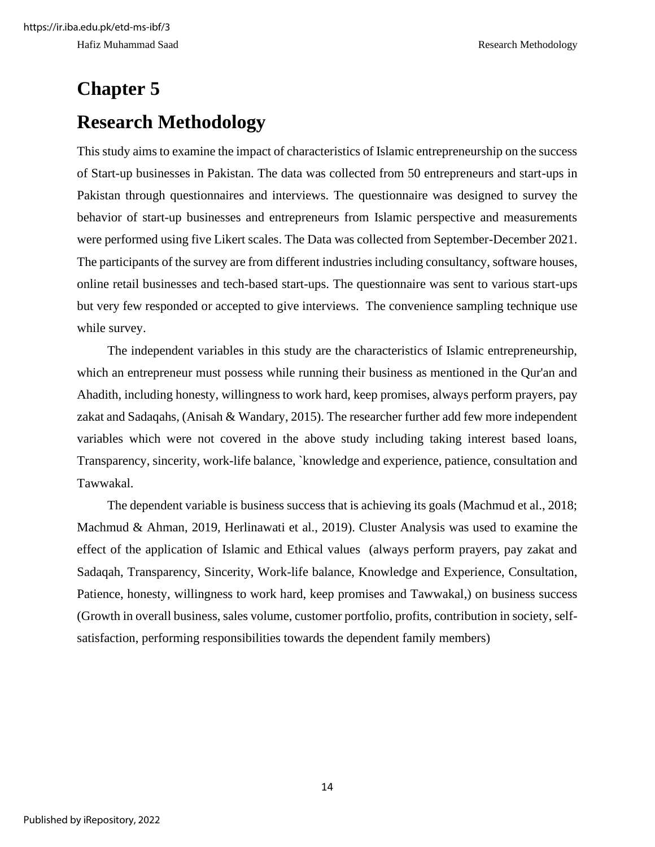# <span id="page-22-1"></span><span id="page-22-0"></span>**Chapter 5 Research Methodology**

This study aims to examine the impact of characteristics of Islamic entrepreneurship on the success of Start-up businesses in Pakistan. The data was collected from 50 entrepreneurs and start-ups in Pakistan through questionnaires and interviews. The questionnaire was designed to survey the behavior of start-up businesses and entrepreneurs from Islamic perspective and measurements were performed using five Likert scales. The Data was collected from September-December 2021. The participants of the survey are from different industries including consultancy, software houses, online retail businesses and tech-based start-ups. The questionnaire was sent to various start-ups but very few responded or accepted to give interviews. The convenience sampling technique use while survey.

The independent variables in this study are the characteristics of Islamic entrepreneurship, which an entrepreneur must possess while running their business as mentioned in the Qur'an and Ahadith, including honesty, willingness to work hard, keep promises, always perform prayers, pay zakat and Sadaqahs, (Anisah & Wandary, 2015). The researcher further add few more independent variables which were not covered in the above study including taking interest based loans, Transparency, sincerity, work-life balance, `knowledge and experience, patience, consultation and Tawwakal.

The dependent variable is business success that is achieving its goals (Machmud et al., 2018; Machmud & Ahman, 2019, Herlinawati et al., 2019). Cluster Analysis was used to examine the effect of the application of Islamic and Ethical values (always perform prayers, pay zakat and Sadaqah, Transparency, Sincerity, Work-life balance, Knowledge and Experience, Consultation, Patience, honesty, willingness to work hard, keep promises and Tawwakal,) on business success (Growth in overall business, sales volume, customer portfolio, profits, contribution in society, selfsatisfaction, performing responsibilities towards the dependent family members)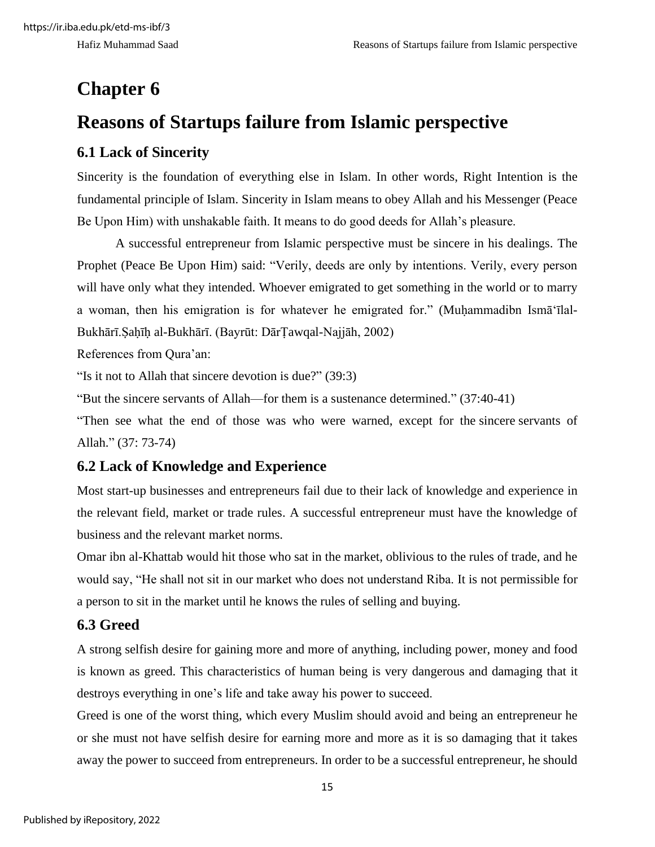### <span id="page-23-0"></span>**Chapter 6**

### <span id="page-23-1"></span>**Reasons of Startups failure from Islamic perspective**

### <span id="page-23-2"></span>**6.1 Lack of Sincerity**

Sincerity is the foundation of everything else in Islam. In other words, Right Intention is the fundamental principle of Islam. Sincerity in Islam means to obey Allah and his Messenger (Peace Be Upon Him) with unshakable faith. It means to do good deeds for Allah's pleasure.

A successful entrepreneur from Islamic perspective must be sincere in his dealings. The Prophet (Peace Be Upon Him) said: "Verily, deeds are only by intentions. Verily, every person will have only what they intended. Whoever emigrated to get something in the world or to marry a woman, then his emigration is for whatever he emigrated for." (Muḥammadibn Ismāʻīlal-Bukhārī.Ṣaḥīḥ al-Bukhārī. (Bayrūt: DārṬawqal-Najjāh, 2002)

References from Qura'an:

"Is it not to Allah that sincere devotion is due?" (39:3)

"But the sincere servants of Allah—for them is a sustenance determined." (37:40-41)

"Then see what the end of those was who were warned, except for the sincere servants of Allah." (37: 73-74)

### <span id="page-23-3"></span>**6.2 Lack of Knowledge and Experience**

Most start-up businesses and entrepreneurs fail due to their lack of knowledge and experience in the relevant field, market or trade rules. A successful entrepreneur must have the knowledge of business and the relevant market norms.

Omar ibn al-Khattab would hit those who sat in the market, oblivious to the rules of trade, and he would say, "He shall not sit in our market who does not understand Riba. It is not permissible for a person to sit in the market until he knows the rules of selling and buying.

### <span id="page-23-4"></span>**6.3 Greed**

A strong selfish desire for gaining more and more of anything, including power, money and food is known as greed. This characteristics of human being is very dangerous and damaging that it destroys everything in one's life and take away his power to succeed.

Greed is one of the worst thing, which every Muslim should avoid and being an entrepreneur he or she must not have selfish desire for earning more and more as it is so damaging that it takes away the power to succeed from entrepreneurs. In order to be a successful entrepreneur, he should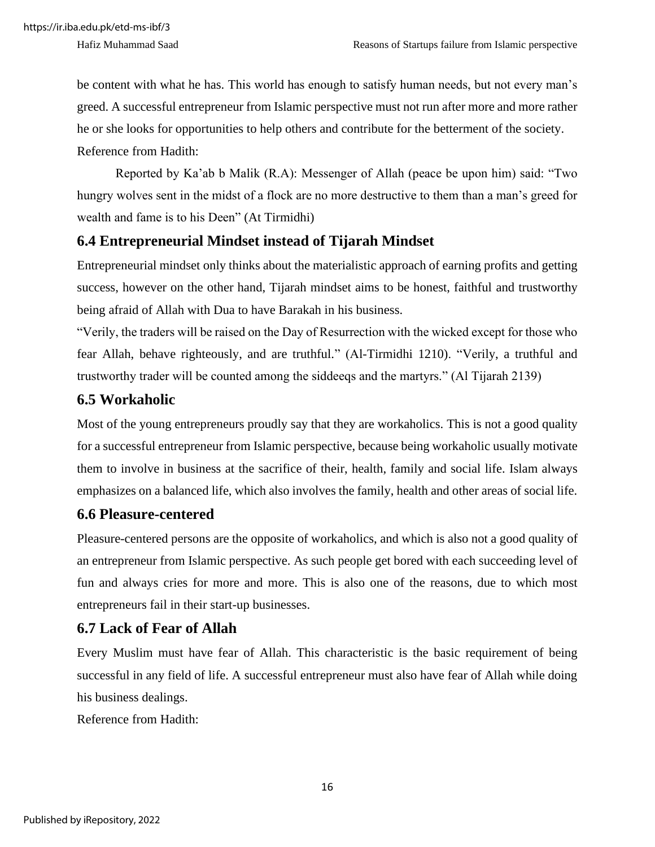be content with what he has. This world has enough to satisfy human needs, but not every man's greed. A successful entrepreneur from Islamic perspective must not run after more and more rather he or she looks for opportunities to help others and contribute for the betterment of the society. Reference from Hadith:

Reported by Ka'ab b Malik (R.A): Messenger of Allah (peace be upon him) said: "Two hungry wolves sent in the midst of a flock are no more destructive to them than a man's greed for wealth and fame is to his Deen" (At Tirmidhi)

#### <span id="page-24-0"></span>**6.4 Entrepreneurial Mindset instead of Tijarah Mindset**

Entrepreneurial mindset only thinks about the materialistic approach of earning profits and getting success, however on the other hand, Tijarah mindset aims to be honest, faithful and trustworthy being afraid of Allah with Dua to have Barakah in his business.

"Verily, the traders will be raised on the Day of Resurrection with the wicked except for those who fear Allah, behave righteously, and are truthful." (Al-Tirmidhi 1210). "Verily, a truthful and trustworthy trader will be counted among the siddeeqs and the martyrs." (Al Tijarah 2139)

#### <span id="page-24-1"></span>**6.5 Workaholic**

Most of the young entrepreneurs proudly say that they are workaholics. This is not a good quality for a successful entrepreneur from Islamic perspective, because being workaholic usually motivate them to involve in business at the sacrifice of their, health, family and social life. Islam always emphasizes on a balanced life, which also involves the family, health and other areas of social life.

### <span id="page-24-2"></span>**6.6 Pleasure-centered**

Pleasure-centered persons are the opposite of workaholics, and which is also not a good quality of an entrepreneur from Islamic perspective. As such people get bored with each succeeding level of fun and always cries for more and more. This is also one of the reasons, due to which most entrepreneurs fail in their start-up businesses.

### <span id="page-24-3"></span>**6.7 Lack of Fear of Allah**

Every Muslim must have fear of Allah. This characteristic is the basic requirement of being successful in any field of life. A successful entrepreneur must also have fear of Allah while doing his business dealings.

Reference from Hadith: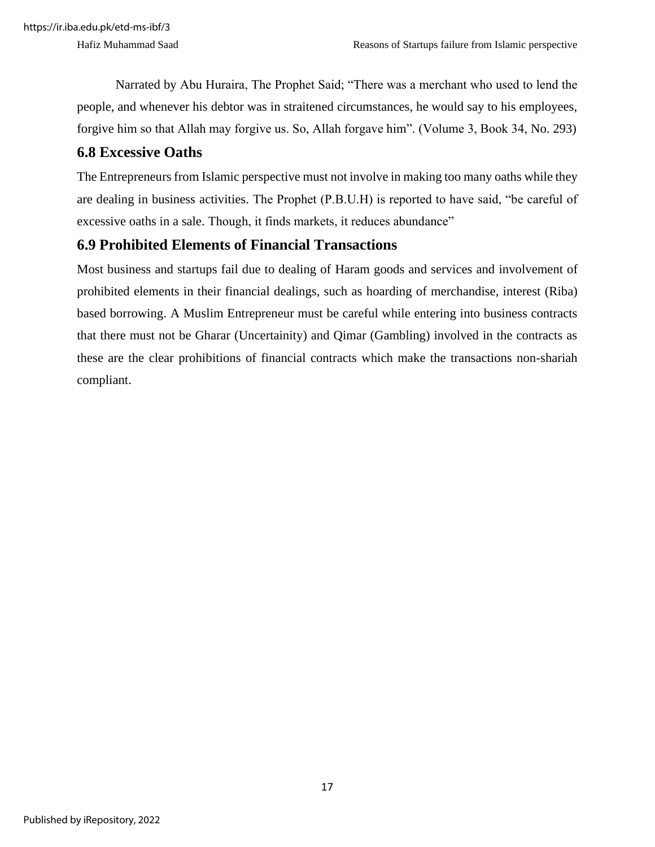Narrated by Abu Huraira, The Prophet Said; "There was a merchant who used to lend the people, and whenever his debtor was in straitened circumstances, he would say to his employees, forgive him so that Allah may forgive us. So, Allah forgave him". (Volume 3, Book 34, No. 293)

#### <span id="page-25-0"></span>**6.8 Excessive Oaths**

The Entrepreneurs from Islamic perspective must not involve in making too many oaths while they are dealing in business activities. The Prophet (P.B.U.H) is reported to have said, "be careful of excessive oaths in a sale. Though, it finds markets, it reduces abundance"

#### <span id="page-25-1"></span>**6.9 Prohibited Elements of Financial Transactions**

Most business and startups fail due to dealing of Haram goods and services and involvement of prohibited elements in their financial dealings, such as hoarding of merchandise, interest (Riba) based borrowing. A Muslim Entrepreneur must be careful while entering into business contracts that there must not be Gharar (Uncertainity) and Qimar (Gambling) involved in the contracts as these are the clear prohibitions of financial contracts which make the transactions non-shariah compliant.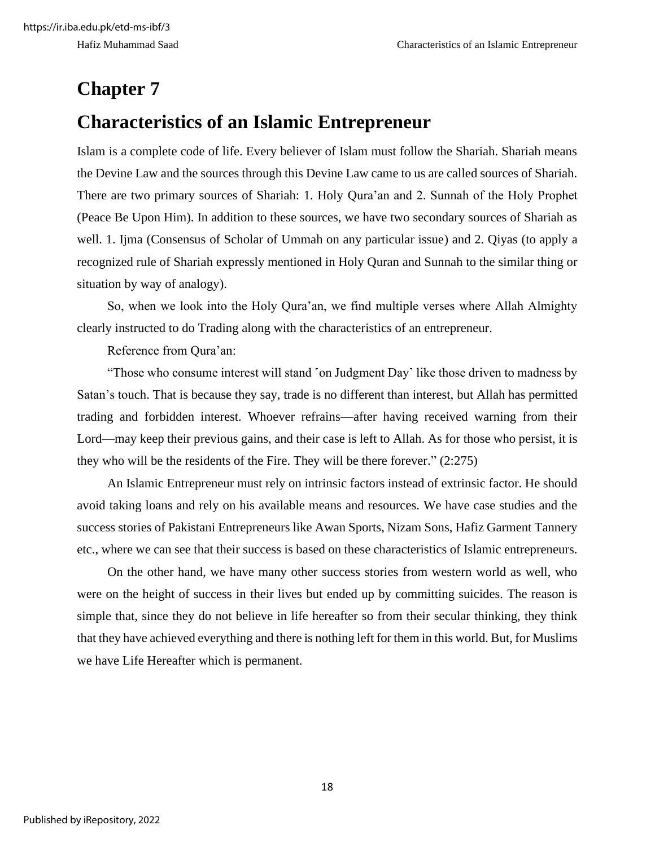### <span id="page-26-0"></span>**Chapter 7**

### <span id="page-26-1"></span>**Characteristics of an Islamic Entrepreneur**

Islam is a complete code of life. Every believer of Islam must follow the Shariah. Shariah means the Devine Law and the sources through this Devine Law came to us are called sources of Shariah. There are two primary sources of Shariah: 1. Holy Qura'an and 2. Sunnah of the Holy Prophet (Peace Be Upon Him). In addition to these sources, we have two secondary sources of Shariah as well. 1. Ijma (Consensus of Scholar of Ummah on any particular issue) and 2. Qiyas (to apply a recognized rule of Shariah expressly mentioned in Holy Quran and Sunnah to the similar thing or situation by way of analogy).

So, when we look into the Holy Qura'an, we find multiple verses where Allah Almighty clearly instructed to do Trading along with the characteristics of an entrepreneur.

Reference from Qura'an:

"Those who consume interest will stand 'on Judgment Day' like those driven to madness by Satan's touch. That is because they say, trade is no different than interest, but Allah has permitted trading and forbidden interest. Whoever refrains—after having received warning from their Lord—may keep their previous gains, and their case is left to Allah. As for those who persist, it is they who will be the residents of the Fire. They will be there forever." (2:275)

An Islamic Entrepreneur must rely on intrinsic factors instead of extrinsic factor. He should avoid taking loans and rely on his available means and resources. We have case studies and the success stories of Pakistani Entrepreneurs like Awan Sports, Nizam Sons, Hafiz Garment Tannery etc., where we can see that their success is based on these characteristics of Islamic entrepreneurs.

On the other hand, we have many other success stories from western world as well, who were on the height of success in their lives but ended up by committing suicides. The reason is simple that, since they do not believe in life hereafter so from their secular thinking, they think that they have achieved everything and there is nothing left for them in this world. But, for Muslims we have Life Hereafter which is permanent.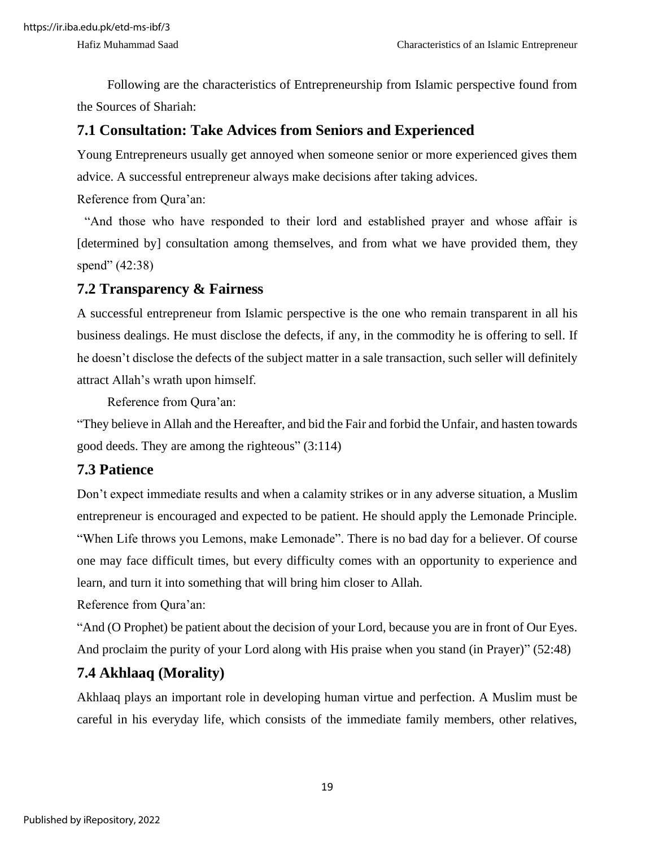Following are the characteristics of Entrepreneurship from Islamic perspective found from the Sources of Shariah:

#### <span id="page-27-0"></span>**7.1 Consultation: Take Advices from Seniors and Experienced**

Young Entrepreneurs usually get annoyed when someone senior or more experienced gives them advice. A successful entrepreneur always make decisions after taking advices.

Reference from Qura'an:

"And those who have responded to their lord and established prayer and whose affair is [determined by] consultation among themselves, and from what we have provided them, they spend" (42:38)

#### <span id="page-27-1"></span>**7.2 Transparency & Fairness**

A successful entrepreneur from Islamic perspective is the one who remain transparent in all his business dealings. He must disclose the defects, if any, in the commodity he is offering to sell. If he doesn't disclose the defects of the subject matter in a sale transaction, such seller will definitely attract Allah's wrath upon himself.

Reference from Qura'an:

"They believe in Allah and the Hereafter, and bid the Fair and forbid the Unfair, and hasten towards good deeds. They are among the righteous" (3:114)

#### <span id="page-27-2"></span>**7.3 Patience**

Don't expect immediate results and when a calamity strikes or in any adverse situation, a Muslim entrepreneur is encouraged and expected to be patient. He should apply the Lemonade Principle. "When Life throws you Lemons, make Lemonade". There is no bad day for a believer. Of course one may face difficult times, but every difficulty comes with an opportunity to experience and learn, and turn it into something that will bring him closer to Allah.

Reference from Qura'an:

"And (O Prophet) be patient about the decision of your Lord, because you are in front of Our Eyes. And proclaim the purity of your Lord along with His praise when you stand (in Prayer)" (52:48)

### <span id="page-27-3"></span>**7.4 Akhlaaq (Morality)**

Akhlaaq plays an important role in developing human virtue and perfection. A Muslim must be careful in his everyday life, which consists of the immediate family members, other relatives,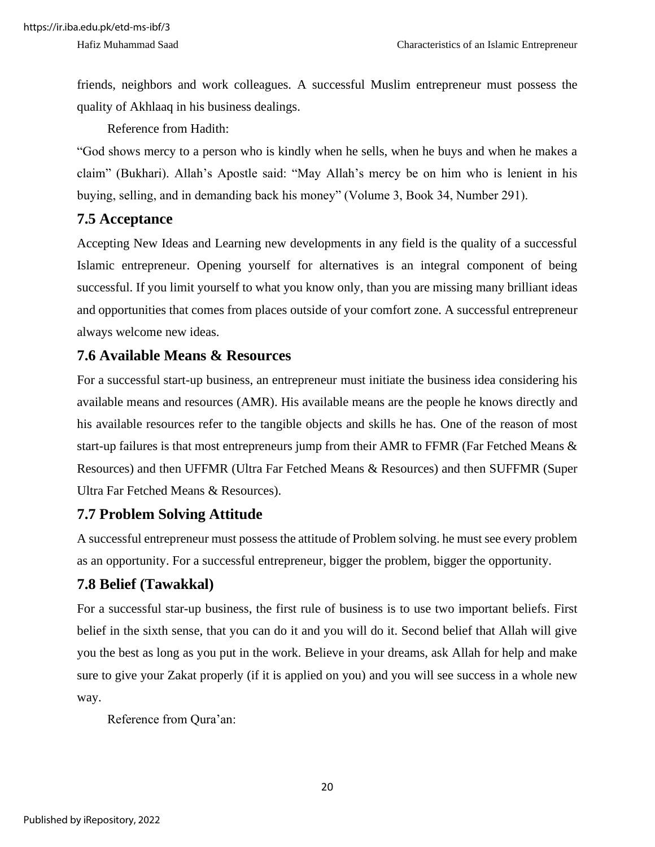friends, neighbors and work colleagues. A successful Muslim entrepreneur must possess the quality of Akhlaaq in his business dealings.

Reference from Hadith:

"God shows mercy to a person who is kindly when he sells, when he buys and when he makes a claim" (Bukhari). Allah's Apostle said: "May Allah's mercy be on him who is lenient in his buying, selling, and in demanding back his money" (Volume 3, Book 34, Number 291).

#### <span id="page-28-0"></span>**7.5 Acceptance**

Accepting New Ideas and Learning new developments in any field is the quality of a successful Islamic entrepreneur. Opening yourself for alternatives is an integral component of being successful. If you limit yourself to what you know only, than you are missing many brilliant ideas and opportunities that comes from places outside of your comfort zone. A successful entrepreneur always welcome new ideas.

#### <span id="page-28-1"></span>**7.6 Available Means & Resources**

For a successful start-up business, an entrepreneur must initiate the business idea considering his available means and resources (AMR). His available means are the people he knows directly and his available resources refer to the tangible objects and skills he has. One of the reason of most start-up failures is that most entrepreneurs jump from their AMR to FFMR (Far Fetched Means & Resources) and then UFFMR (Ultra Far Fetched Means & Resources) and then SUFFMR (Super Ultra Far Fetched Means & Resources).

#### <span id="page-28-2"></span>**7.7 Problem Solving Attitude**

A successful entrepreneur must possess the attitude of Problem solving. he must see every problem as an opportunity. For a successful entrepreneur, bigger the problem, bigger the opportunity.

### <span id="page-28-3"></span>**7.8 Belief (Tawakkal)**

For a successful star-up business, the first rule of business is to use two important beliefs. First belief in the sixth sense, that you can do it and you will do it. Second belief that Allah will give you the best as long as you put in the work. Believe in your dreams, ask Allah for help and make sure to give your Zakat properly (if it is applied on you) and you will see success in a whole new way.

Reference from Qura'an: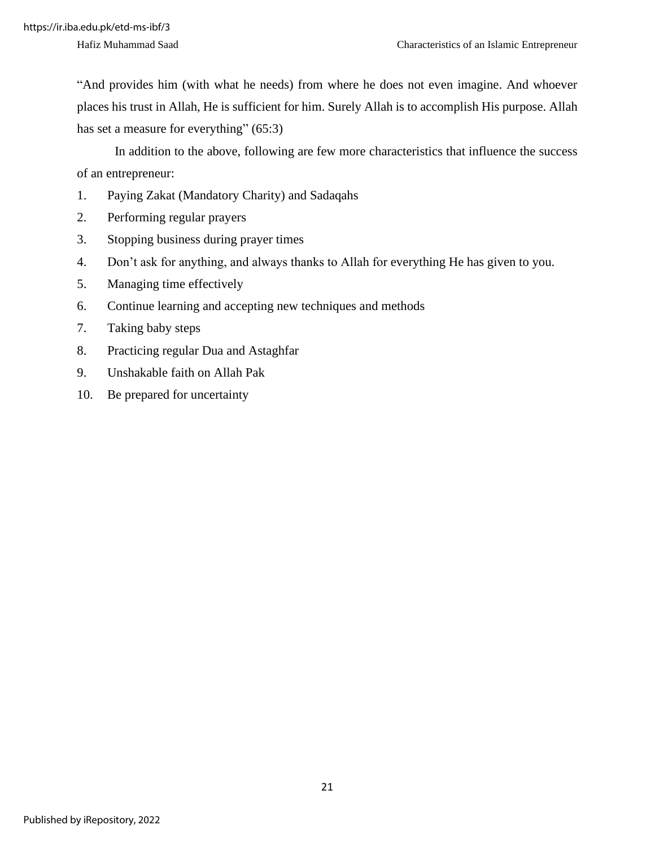"And provides him (with what he needs) from where he does not even imagine. And whoever places his trust in Allah, He is sufficient for him. Surely Allah is to accomplish His purpose. Allah has set a measure for everything" (65:3)

In addition to the above, following are few more characteristics that influence the success of an entrepreneur:

- 1. Paying Zakat (Mandatory Charity) and Sadaqahs
- 2. Performing regular prayers
- 3. Stopping business during prayer times
- 4. Don't ask for anything, and always thanks to Allah for everything He has given to you.
- 5. Managing time effectively
- 6. Continue learning and accepting new techniques and methods
- 7. Taking baby steps
- 8. Practicing regular Dua and Astaghfar
- 9. Unshakable faith on Allah Pak
- 10. Be prepared for uncertainty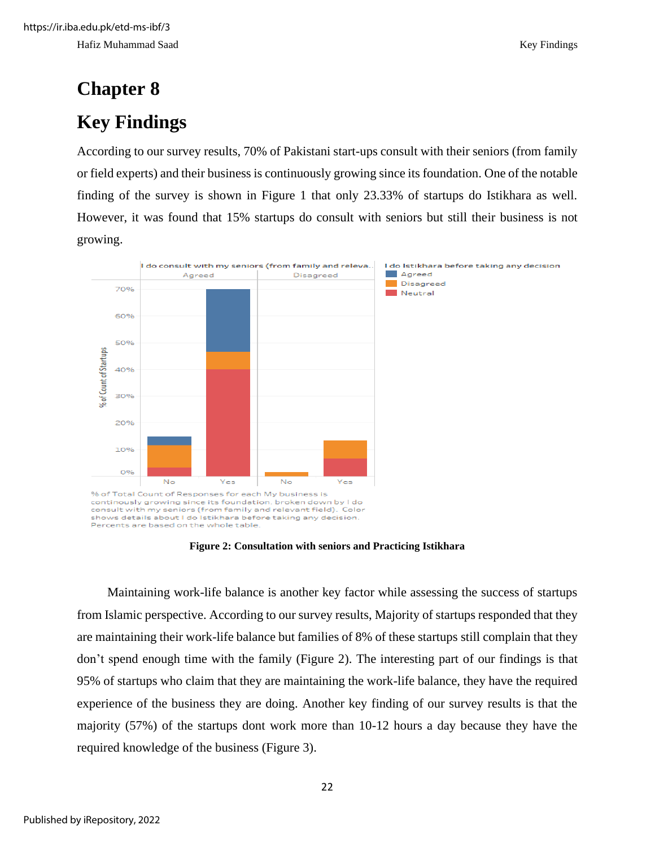# <span id="page-30-1"></span><span id="page-30-0"></span>**Chapter 8 Key Findings**

According to our survey results, 70% of Pakistani start-ups consult with their seniors (from family or field experts) and their business is continuously growing since its foundation. One of the notable finding of the survey is shown in Figure 1 that only 23.33% of startups do Istikhara as well. However, it was found that 15% startups do consult with seniors but still their business is not growing.



**Figure 2: Consultation with seniors and Practicing Istikhara**

<span id="page-30-2"></span>Maintaining work-life balance is another key factor while assessing the success of startups from Islamic perspective. According to our survey results, Majority of startups responded that they are maintaining their work-life balance but families of 8% of these startups still complain that they don't spend enough time with the family (Figure 2). The interesting part of our findings is that 95% of startups who claim that they are maintaining the work-life balance, they have the required experience of the business they are doing. Another key finding of our survey results is that the majority (57%) of the startups dont work more than 10-12 hours a day because they have the required knowledge of the business (Figure 3).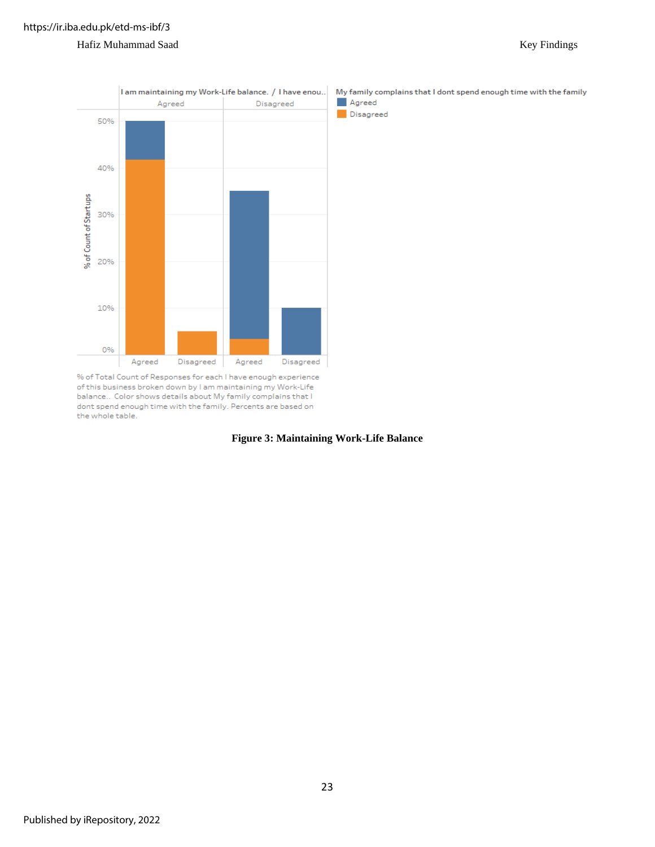#### Hafiz Muhammad Saad Key Findings



<span id="page-31-0"></span>% of Total Count of Responses for each I have enough experience of this business broken down by I am maintaining my Work-Life balance.. Color shows details about My family complains that I dont spend enough time with the family. Percents are based on the whole table.

#### **Figure 3: Maintaining Work-Life Balance**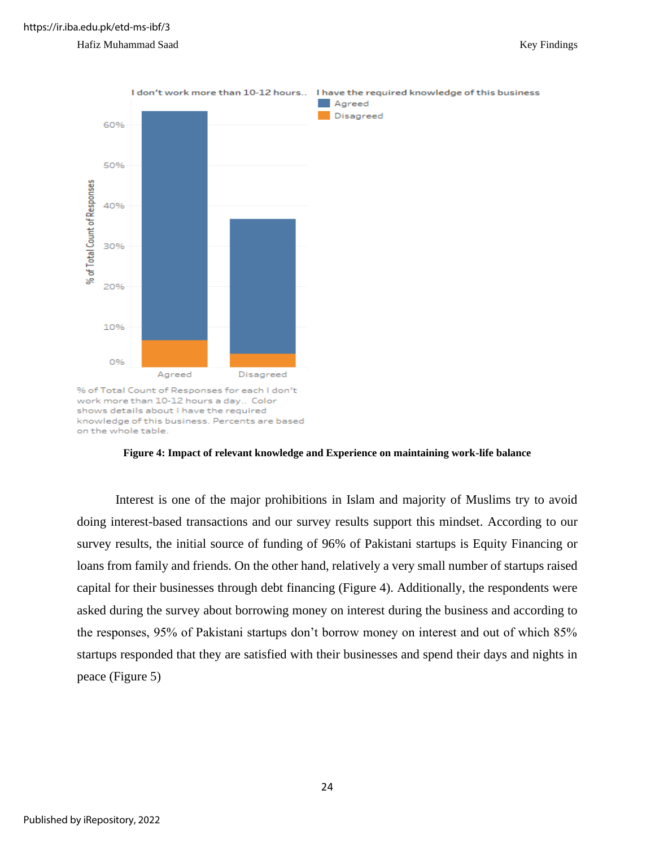

#### **Figure 4: Impact of relevant knowledge and Experience on maintaining work-life balance**

<span id="page-32-0"></span>Interest is one of the major prohibitions in Islam and majority of Muslims try to avoid doing interest-based transactions and our survey results support this mindset. According to our survey results, the initial source of funding of 96% of Pakistani startups is Equity Financing or loans from family and friends. On the other hand, relatively a very small number of startups raised capital for their businesses through debt financing (Figure 4). Additionally, the respondents were asked during the survey about borrowing money on interest during the business and according to the responses, 95% of Pakistani startups don't borrow money on interest and out of which 85% startups responded that they are satisfied with their businesses and spend their days and nights in peace (Figure 5)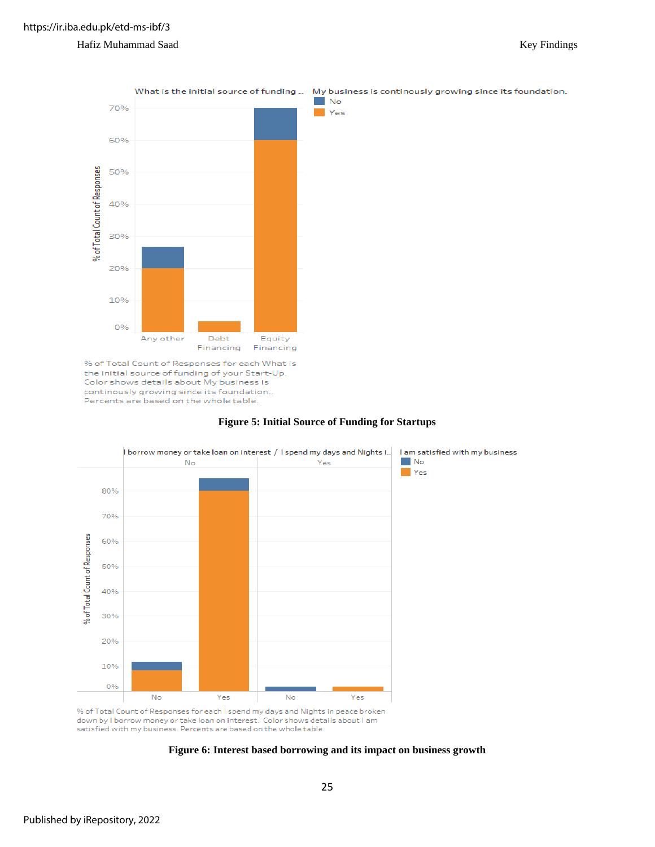#### Hafiz Muhammad Saad Key Findings



% of Total Count of Responses for each What is the initial source of funding of your Start-Up. Color shows details about My business is continously growing since its foundation. Percents are based on the whole table.

#### **Figure 5: Initial Source of Funding for Startups**

<span id="page-33-0"></span>

<span id="page-33-1"></span>% of Total Count of Responses for each I spend my days and Nights in peace broken down by I borrow money or take loan on interest. Color shows details about I am satisfied with my business. Percents are based on the whole table.

#### **Figure 6: Interest based borrowing and its impact on business growth**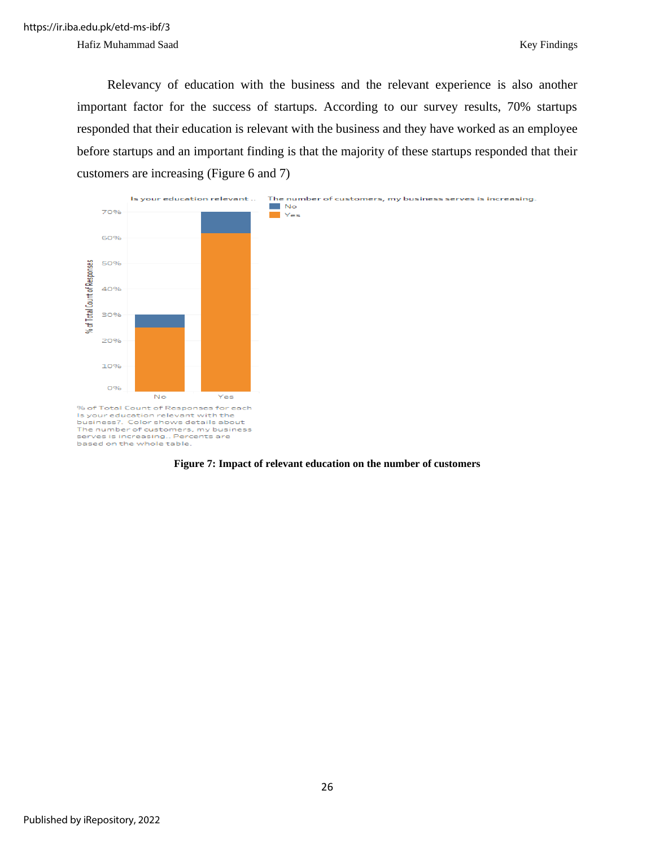Hafiz Muhammad Saad Key Findings

Relevancy of education with the business and the relevant experience is also another important factor for the success of startups. According to our survey results, 70% startups responded that their education is relevant with the business and they have worked as an employee before startups and an important finding is that the majority of these startups responded that their customers are increasing (Figure 6 and 7)



<span id="page-34-0"></span>**Figure 7: Impact of relevant education on the number of customers**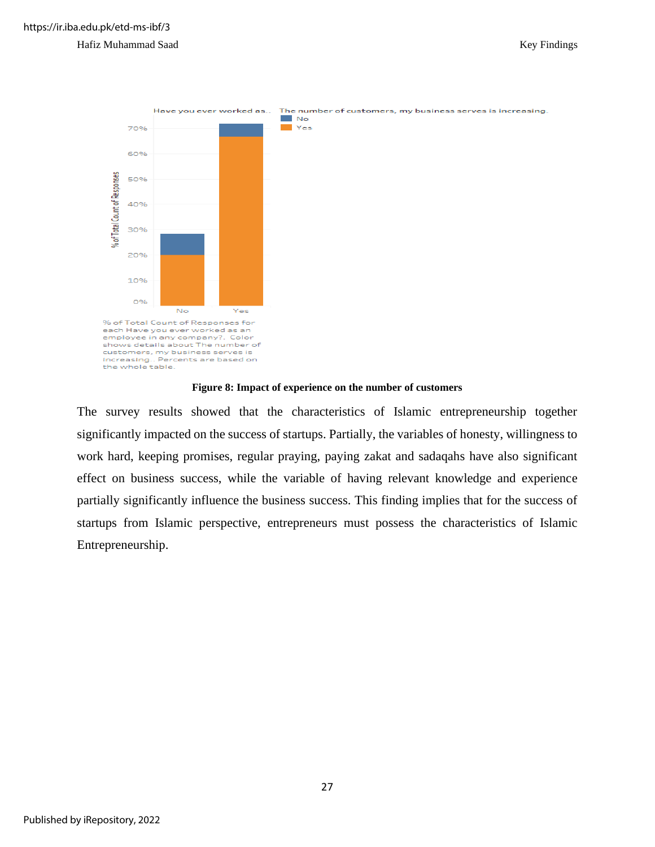

**Figure 8: Impact of experience on the number of customers**

<span id="page-35-0"></span>The survey results showed that the characteristics of Islamic entrepreneurship together significantly impacted on the success of startups. Partially, the variables of honesty, willingness to work hard, keeping promises, regular praying, paying zakat and sadaqahs have also significant effect on business success, while the variable of having relevant knowledge and experience partially significantly influence the business success. This finding implies that for the success of startups from Islamic perspective, entrepreneurs must possess the characteristics of Islamic Entrepreneurship.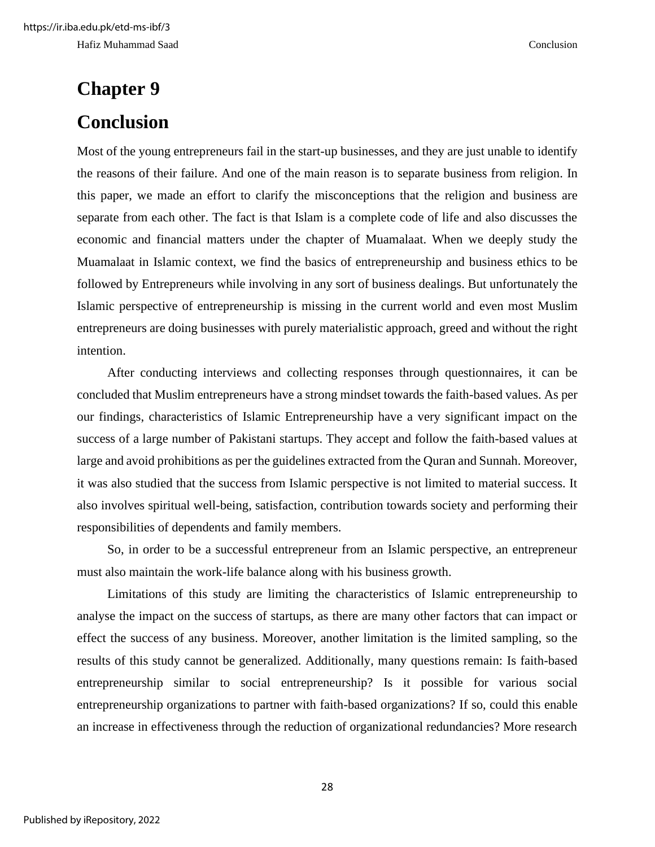# <span id="page-36-1"></span><span id="page-36-0"></span>**Chapter 9 Conclusion**

Most of the young entrepreneurs fail in the start-up businesses, and they are just unable to identify the reasons of their failure. And one of the main reason is to separate business from religion. In this paper, we made an effort to clarify the misconceptions that the religion and business are separate from each other. The fact is that Islam is a complete code of life and also discusses the economic and financial matters under the chapter of Muamalaat. When we deeply study the Muamalaat in Islamic context, we find the basics of entrepreneurship and business ethics to be followed by Entrepreneurs while involving in any sort of business dealings. But unfortunately the Islamic perspective of entrepreneurship is missing in the current world and even most Muslim entrepreneurs are doing businesses with purely materialistic approach, greed and without the right intention.

After conducting interviews and collecting responses through questionnaires, it can be concluded that Muslim entrepreneurs have a strong mindset towards the faith-based values. As per our findings, characteristics of Islamic Entrepreneurship have a very significant impact on the success of a large number of Pakistani startups. They accept and follow the faith-based values at large and avoid prohibitions as per the guidelines extracted from the Quran and Sunnah. Moreover, it was also studied that the success from Islamic perspective is not limited to material success. It also involves spiritual well-being, satisfaction, contribution towards society and performing their responsibilities of dependents and family members.

So, in order to be a successful entrepreneur from an Islamic perspective, an entrepreneur must also maintain the work-life balance along with his business growth.

Limitations of this study are limiting the characteristics of Islamic entrepreneurship to analyse the impact on the success of startups, as there are many other factors that can impact or effect the success of any business. Moreover, another limitation is the limited sampling, so the results of this study cannot be generalized. Additionally, many questions remain: Is faith-based entrepreneurship similar to social entrepreneurship? Is it possible for various social entrepreneurship organizations to partner with faith-based organizations? If so, could this enable an increase in effectiveness through the reduction of organizational redundancies? More research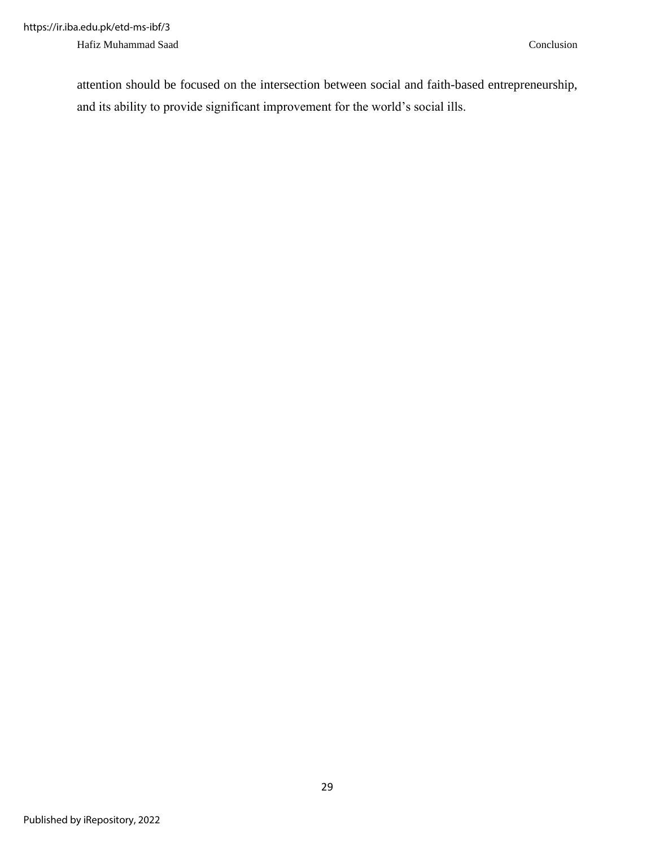attention should be focused on the intersection between social and faith-based entrepreneurship, and its ability to provide significant improvement for the world's social ills.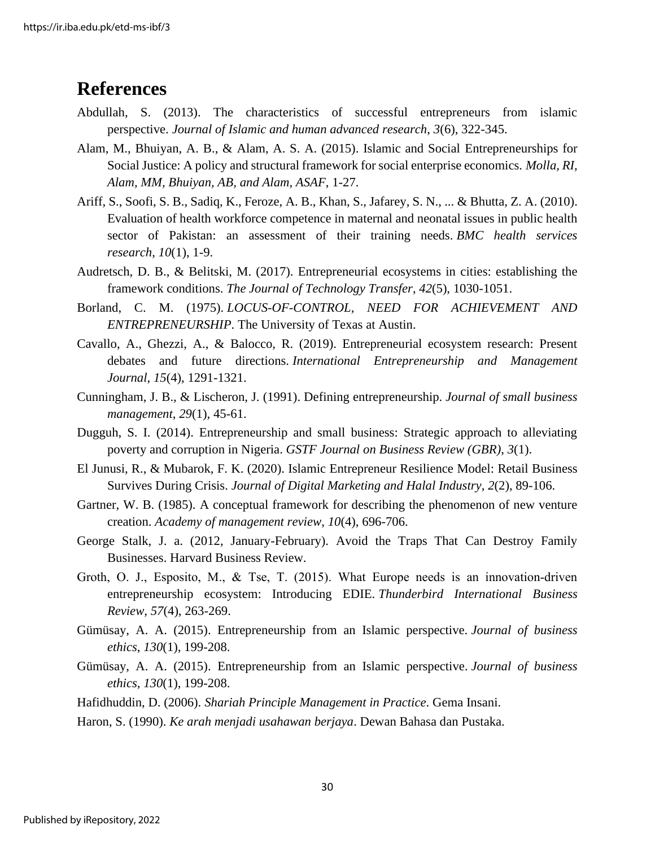### <span id="page-38-0"></span>**References**

- Abdullah, S. (2013). The characteristics of successful entrepreneurs from islamic perspective. *Journal of Islamic and human advanced research*, *3*(6), 322-345.
- Alam, M., Bhuiyan, A. B., & Alam, A. S. A. (2015). Islamic and Social Entrepreneurships for Social Justice: A policy and structural framework for social enterprise economics. *Molla, RI, Alam, MM, Bhuiyan, AB, and Alam, ASAF*, 1-27.
- Ariff, S., Soofi, S. B., Sadiq, K., Feroze, A. B., Khan, S., Jafarey, S. N., ... & Bhutta, Z. A. (2010). Evaluation of health workforce competence in maternal and neonatal issues in public health sector of Pakistan: an assessment of their training needs. *BMC health services research*, *10*(1), 1-9.
- Audretsch, D. B., & Belitski, M. (2017). Entrepreneurial ecosystems in cities: establishing the framework conditions. *The Journal of Technology Transfer*, *42*(5), 1030-1051.
- Borland, C. M. (1975). *LOCUS-OF-CONTROL, NEED FOR ACHIEVEMENT AND ENTREPRENEURSHIP*. The University of Texas at Austin.
- Cavallo, A., Ghezzi, A., & Balocco, R. (2019). Entrepreneurial ecosystem research: Present debates and future directions. *International Entrepreneurship and Management Journal*, *15*(4), 1291-1321.
- Cunningham, J. B., & Lischeron, J. (1991). Defining entrepreneurship. *Journal of small business management*, *29*(1), 45-61.
- Dugguh, S. I. (2014). Entrepreneurship and small business: Strategic approach to alleviating poverty and corruption in Nigeria. *GSTF Journal on Business Review (GBR)*, *3*(1).
- El Junusi, R., & Mubarok, F. K. (2020). Islamic Entrepreneur Resilience Model: Retail Business Survives During Crisis. *Journal of Digital Marketing and Halal Industry*, *2*(2), 89-106.
- Gartner, W. B. (1985). A conceptual framework for describing the phenomenon of new venture creation. *Academy of management review*, *10*(4), 696-706.
- George Stalk, J. a. (2012, January-February). Avoid the Traps That Can Destroy Family Businesses. Harvard Business Review.
- Groth, O. J., Esposito, M., & Tse, T. (2015). What Europe needs is an innovation-driven entrepreneurship ecosystem: Introducing EDIE. *Thunderbird International Business Review*, *57*(4), 263-269.
- Gümüsay, A. A. (2015). Entrepreneurship from an Islamic perspective. *Journal of business ethics*, *130*(1), 199-208.
- Gümüsay, A. A. (2015). Entrepreneurship from an Islamic perspective. *Journal of business ethics*, *130*(1), 199-208.
- Hafidhuddin, D. (2006). *Shariah Principle Management in Practice*. Gema Insani.
- Haron, S. (1990). *Ke arah menjadi usahawan berjaya*. Dewan Bahasa dan Pustaka.